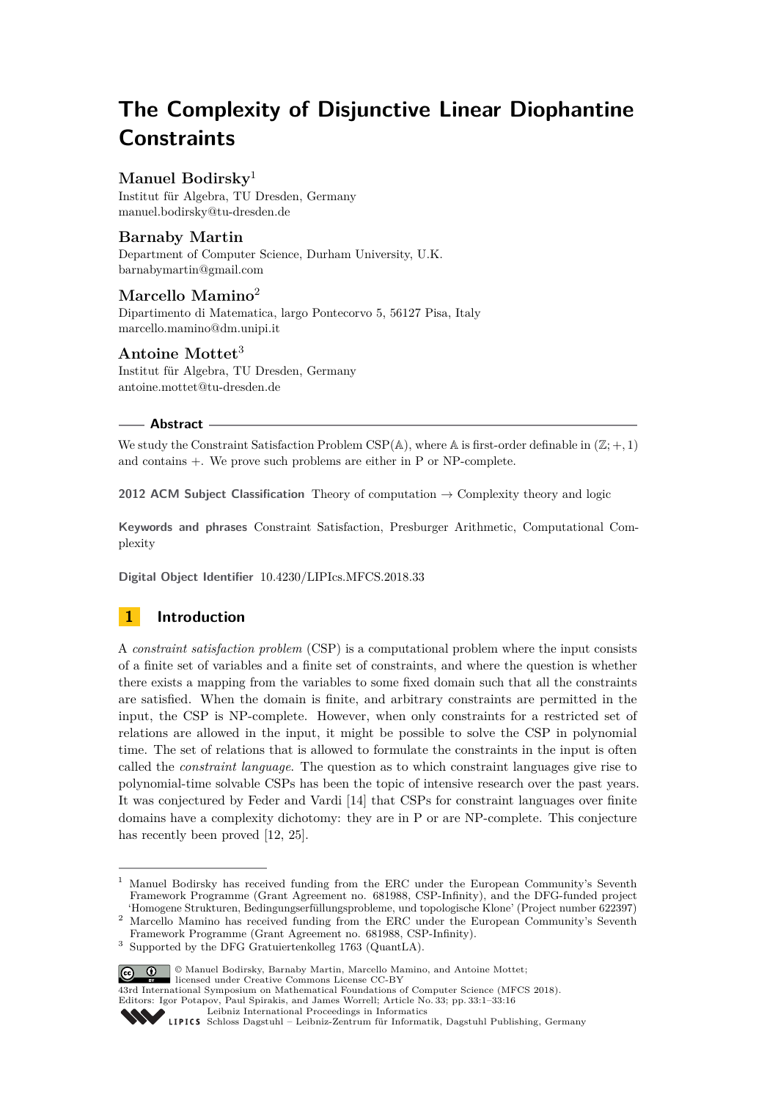# **The Complexity of Disjunctive Linear Diophantine Constraints**

# **Manuel Bodirsky**<sup>1</sup>

Institut für Algebra, TU Dresden, Germany [manuel.bodirsky@tu-dresden.de](mailto:manuel.bodirsky@tu-dresden.de)

# **Barnaby Martin**

Department of Computer Science, Durham University, U.K. [barnabymartin@gmail.com](mailto:barnabymartin@gmail.com)

# **Marcello Mamino**<sup>2</sup>

Dipartimento di Matematica, largo Pontecorvo 5, 56127 Pisa, Italy [marcello.mamino@dm.unipi.it](mailto:marcello.mamino@dm.unipi.it)

# **Antoine Mottet**<sup>3</sup>

Institut für Algebra, TU Dresden, Germany [antoine.mottet@tu-dresden.de](mailto:antoine.mottet@tu-dresden.de)

## **Abstract**

We study the Constraint Satisfaction Problem CSP( $\mathbb{A}$ ), where  $\mathbb{A}$  is first-order definable in  $(\mathbb{Z}; +, 1)$ and contains +. We prove such problems are either in P or NP-complete.

**2012 ACM Subject Classification** Theory of computation  $\rightarrow$  Complexity theory and logic

**Keywords and phrases** Constraint Satisfaction, Presburger Arithmetic, Computational Complexity

**Digital Object Identifier** [10.4230/LIPIcs.MFCS.2018.33](http://dx.doi.org/10.4230/LIPIcs.MFCS.2018.33)

# **1 Introduction**

A *constraint satisfaction problem* (CSP) is a computational problem where the input consists of a finite set of variables and a finite set of constraints, and where the question is whether there exists a mapping from the variables to some fixed domain such that all the constraints are satisfied. When the domain is finite, and arbitrary constraints are permitted in the input, the CSP is NP-complete. However, when only constraints for a restricted set of relations are allowed in the input, it might be possible to solve the CSP in polynomial time. The set of relations that is allowed to formulate the constraints in the input is often called the *constraint language*. The question as to which constraint languages give rise to polynomial-time solvable CSPs has been the topic of intensive research over the past years. It was conjectured by Feder and Vardi [\[14\]](#page-14-0) that CSPs for constraint languages over finite domains have a complexity dichotomy: they are in P or are NP-complete. This conjecture has recently been proved [\[12,](#page-14-1) [25\]](#page-15-0).

<sup>3</sup> Supported by the DFG Gratuiertenkolleg 1763 (QuantLA).



**i i**  $\Theta$  **0** Manuel Bodirsky, Barnaby Martin, Marcello Mamino, and Antoine Mottet; licensed under Creative Commons License CC-BY

43rd International Symposium on Mathematical Foundations of Computer Science (MFCS 2018).

Editors: Igor Potapov, Paul Spirakis, and James Worrell; Article No. 33; pp. 33:1–33[:16](#page-15-1)

<sup>1</sup> Manuel Bodirsky has received funding from the ERC under the European Community's Seventh Framework Programme (Grant Agreement no. 681988, CSP-Infinity), and the DFG-funded project 'Homogene Strukturen, Bedingungserfüllungsprobleme, und topologische Klone' (Project number 622397)

<sup>2</sup> Marcello Mamino has received funding from the ERC under the European Community's Seventh Framework Programme (Grant Agreement no. 681988, CSP-Infinity).

[Leibniz International Proceedings in Informatics](http://www.dagstuhl.de/lipics/)

[Schloss Dagstuhl – Leibniz-Zentrum für Informatik, Dagstuhl Publishing, Germany](http://www.dagstuhl.de)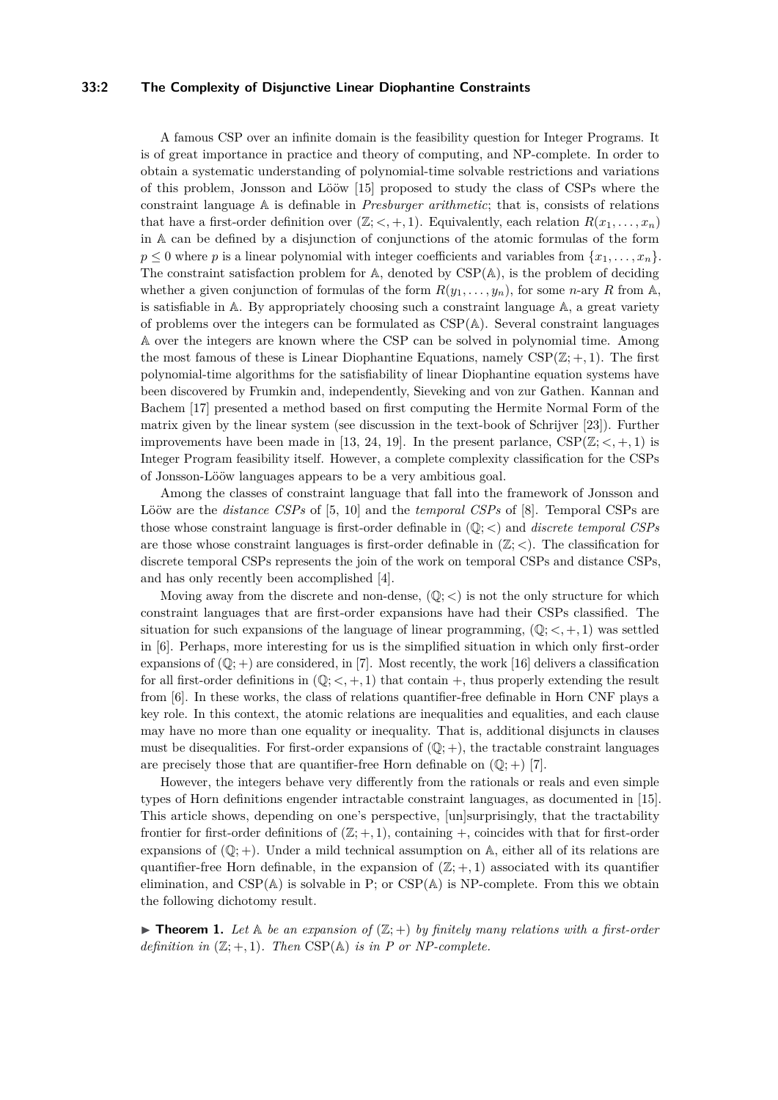## **33:2 The Complexity of Disjunctive Linear Diophantine Constraints**

A famous CSP over an infinite domain is the feasibility question for Integer Programs. It is of great importance in practice and theory of computing, and NP-complete. In order to obtain a systematic understanding of polynomial-time solvable restrictions and variations of this problem, Jonsson and Lööw [\[15\]](#page-14-2) proposed to study the class of CSPs where the constraint language A is definable in *Presburger arithmetic*; that is, consists of relations that have a first-order definition over  $(\mathbb{Z}; <, +, 1)$ . Equivalently, each relation  $R(x_1, \ldots, x_n)$ in A can be defined by a disjunction of conjunctions of the atomic formulas of the form  $p \leq 0$  where *p* is a linear polynomial with integer coefficients and variables from  $\{x_1, \ldots, x_n\}$ . The constraint satisfaction problem for A, denoted by CSP(A), is the problem of deciding whether a given conjunction of formulas of the form  $R(y_1, \ldots, y_n)$ , for some *n*-ary *R* from A, is satisfiable in A. By appropriately choosing such a constraint language A, a great variety of problems over the integers can be formulated as  $CSP(A)$ . Several constraint languages A over the integers are known where the CSP can be solved in polynomial time. Among the most famous of these is Linear Diophantine Equations, namely  $CSP(\mathbb{Z}; +, 1)$ . The first polynomial-time algorithms for the satisfiability of linear Diophantine equation systems have been discovered by Frumkin and, independently, Sieveking and von zur Gathen. Kannan and Bachem [\[17\]](#page-14-3) presented a method based on first computing the Hermite Normal Form of the matrix given by the linear system (see discussion in the text-book of Schrijver [\[23\]](#page-15-2)). Further improvements have been made in [\[13,](#page-14-4) [24,](#page-15-3) [19\]](#page-14-5). In the present parlance,  $CSP(Z; <, +, 1)$  is Integer Program feasibility itself. However, a complete complexity classification for the CSPs of Jonsson-Lööw languages appears to be a very ambitious goal.

Among the classes of constraint language that fall into the framework of Jonsson and Lööw are the *distance CSPs* of [\[5,](#page-14-6) [10\]](#page-14-7) and the *temporal CSPs* of [\[8\]](#page-14-8). Temporal CSPs are those whose constraint language is first-order definable in (Q; *<*) and *discrete temporal CSPs* are those whose constraint languages is first-order definable in  $(\mathbb{Z}; <)$ . The classification for discrete temporal CSPs represents the join of the work on temporal CSPs and distance CSPs, and has only recently been accomplished [\[4\]](#page-14-9).

Moving away from the discrete and non-dense,  $(\mathbb{Q};<)$  is not the only structure for which constraint languages that are first-order expansions have had their CSPs classified. The situation for such expansions of the language of linear programming,  $(\mathbb{Q}; <, +, 1)$  was settled in [\[6\]](#page-14-10). Perhaps, more interesting for us is the simplified situation in which only first-order expansions of  $(\mathbb{Q}; +)$  are considered, in [\[7\]](#page-14-11). Most recently, the work [\[16\]](#page-14-12) delivers a classification for all first-order definitions in  $(\mathbb{Q}; <, +, 1)$  that contain  $+$ , thus properly extending the result from [\[6\]](#page-14-10). In these works, the class of relations quantifier-free definable in Horn CNF plays a key role. In this context, the atomic relations are inequalities and equalities, and each clause may have no more than one equality or inequality. That is, additional disjuncts in clauses must be disequalities. For first-order expansions of  $(\mathbb{Q}; +)$ , the tractable constraint languages are precisely those that are quantifier-free Horn definable on  $(\mathbb{Q}; +)$  [\[7\]](#page-14-11).

However, the integers behave very differently from the rationals or reals and even simple types of Horn definitions engender intractable constraint languages, as documented in [\[15\]](#page-14-2). This article shows, depending on one's perspective, [un]surprisingly, that the tractability frontier for first-order definitions of  $(\mathbb{Z}; +, 1)$ , containing  $+$ , coincides with that for first-order expansions of  $(\mathbb{Q}; +)$ . Under a mild technical assumption on  $\mathbb{A}$ , either all of its relations are quantifier-free Horn definable, in the expansion of  $(\mathbb{Z}; +, 1)$  associated with its quantifier elimination, and  $CSP(A)$  is solvable in P; or  $CSP(A)$  is NP-complete. From this we obtain the following dichotomy result.

<span id="page-1-0"></span>**Find Theorem 1.** Let  $A$  be an expansion of  $(\mathbb{Z}; +)$  by finitely many relations with a first-order *definition in*  $(\mathbb{Z}; +, 1)$ *. Then* CSP(A) *is in P or NP-complete.*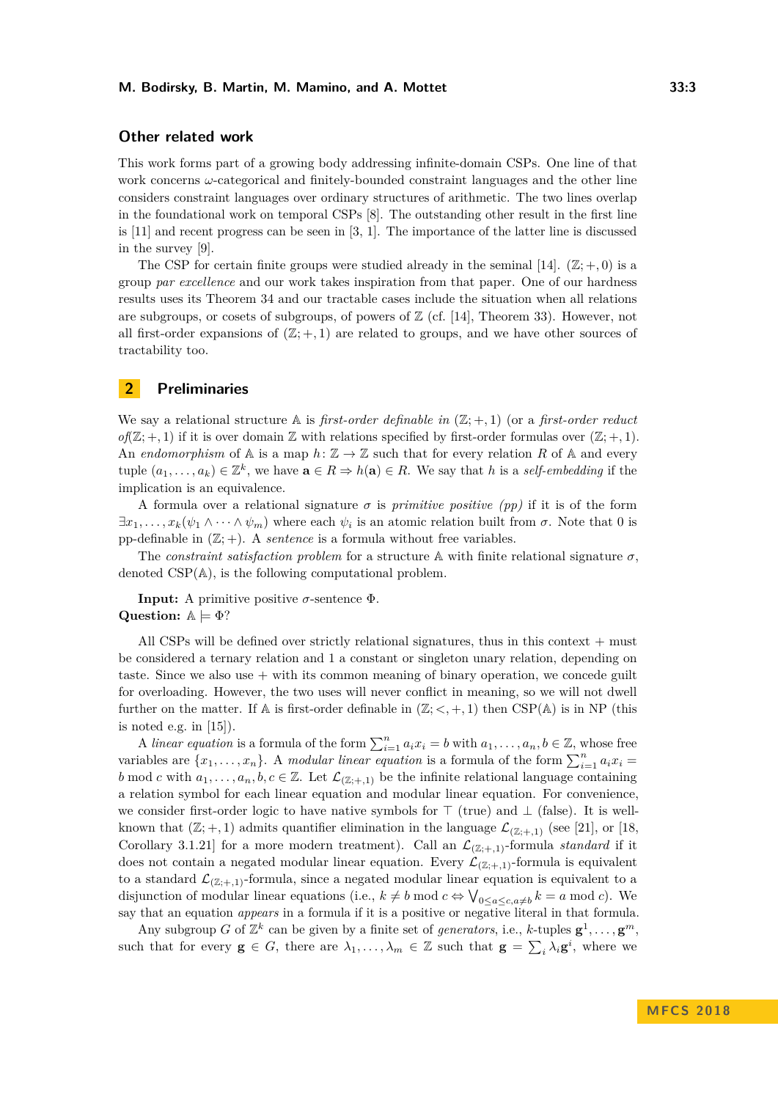## **Other related work**

This work forms part of a growing body addressing infinite-domain CSPs. One line of that work concerns *ω*-categorical and finitely-bounded constraint languages and the other line considers constraint languages over ordinary structures of arithmetic. The two lines overlap in the foundational work on temporal CSPs [\[8\]](#page-14-8). The outstanding other result in the first line is [\[11\]](#page-14-13) and recent progress can be seen in [\[3,](#page-13-0) [1\]](#page-13-1). The importance of the latter line is discussed in the survey [\[9\]](#page-14-14).

The CSP for certain finite groups were studied already in the seminal [\[14\]](#page-14-0).  $(\mathbb{Z}; +, 0)$  is a group *par excellence* and our work takes inspiration from that paper. One of our hardness results uses its Theorem 34 and our tractable cases include the situation when all relations are subgroups, or cosets of subgroups, of powers of  $\mathbb Z$  (cf. [\[14\]](#page-14-0), Theorem 33). However, not all first-order expansions of  $(\mathbb{Z}; +, 1)$  are related to groups, and we have other sources of tractability too.

## **2 Preliminaries**

We say a relational structure  $\mathbb{A}$  is *first-order definable in*  $(\mathbb{Z}; +, 1)$  (or a *first-order reduct*  $of(\mathbb{Z};+,1)$  if it is over domain  $\mathbb Z$  with relations specified by first-order formulas over  $(\mathbb{Z};+,1)$ . An *endomorphism* of  $\mathbb{A}$  is a map  $h: \mathbb{Z} \to \mathbb{Z}$  such that for every relation R of  $\mathbb{A}$  and every tuple  $(a_1, \ldots, a_k) \in \mathbb{Z}^k$ , we have  $\mathbf{a} \in R \Rightarrow h(\mathbf{a}) \in R$ . We say that *h* is a *self-embedding* if the implication is an equivalence.

A formula over a relational signature  $\sigma$  is *primitive positive (pp)* if it is of the form  $\exists x_1, \ldots, x_k(\psi_1 \wedge \cdots \wedge \psi_m)$  where each  $\psi_i$  is an atomic relation built from  $\sigma$ . Note that 0 is pp-definable in  $(\mathbb{Z}; +)$ . A *sentence* is a formula without free variables.

The *constraint satisfaction problem* for a structure  $\mathbb A$  with finite relational signature  $\sigma$ , denoted CSP(A), is the following computational problem.

**Input:** A primitive positive  $\sigma$ -sentence  $\Phi$ . **Question:**  $\mathbb{A} \models \Phi$ ?

All CSPs will be defined over strictly relational signatures, thus in this context  $+$  must be considered a ternary relation and 1 a constant or singleton unary relation, depending on taste. Since we also use  $+$  with its common meaning of binary operation, we concede guilt for overloading. However, the two uses will never conflict in meaning, so we will not dwell further on the matter. If A is first-order definable in  $(\mathbb{Z}; <, +, 1)$  then CSP(A) is in NP (this is noted e.g. in [\[15\]](#page-14-2)).

A *linear equation* is a formula of the form  $\sum_{i=1}^{n} a_i x_i = b$  with  $a_1, \ldots, a_n, b \in \mathbb{Z}$ , whose free variables are  $\{x_1, \ldots, x_n\}$ . A *modular linear equation* is a formula of the form  $\sum_{i=1}^n a_i x_i =$ *b* mod *c* with  $a_1, \ldots, a_n, b, c \in \mathbb{Z}$ . Let  $\mathcal{L}_{(\mathbb{Z};+,1)}$  be the infinite relational language containing a relation symbol for each linear equation and modular linear equation. For convenience, we consider first-order logic to have native symbols for  $\top$  (true) and  $\bot$  (false). It is wellknown that  $(\mathbb{Z}; +, 1)$  admits quantifier elimination in the language  $\mathcal{L}_{(\mathbb{Z}; +,1)}$  (see [\[21\]](#page-14-15), or [\[18,](#page-14-16) Corollary 3.1.21 for a more modern treatment). Call an  $\mathcal{L}_{(\mathbb{Z};+1)}$ -formula *standard* if it does not contain a negated modular linear equation. Every  $\mathcal{L}_{(\mathbb{Z};+,1)}$ -formula is equivalent to a standard  $\mathcal{L}_{(\mathbb{Z};+,1)}$ -formula, since a negated modular linear equation is equivalent to a disjunction of modular linear equations (i.e.,  $k \neq b \mod c \Leftrightarrow \bigvee_{0 \leq a \leq c, a \neq b} k = a \mod c$ ). We say that an equation *appears* in a formula if it is a positive or negative literal in that formula.

Any subgroup *G* of  $\mathbb{Z}^k$  can be given by a finite set of *generators*, i.e., *k*-tuples  $\mathbf{g}^1, \ldots, \mathbf{g}^m$ , such that for every  $\mathbf{g} \in G$ , there are  $\lambda_1, \ldots, \lambda_m \in \mathbb{Z}$  such that  $\mathbf{g} = \sum_i \lambda_i \mathbf{g}^i$ , where we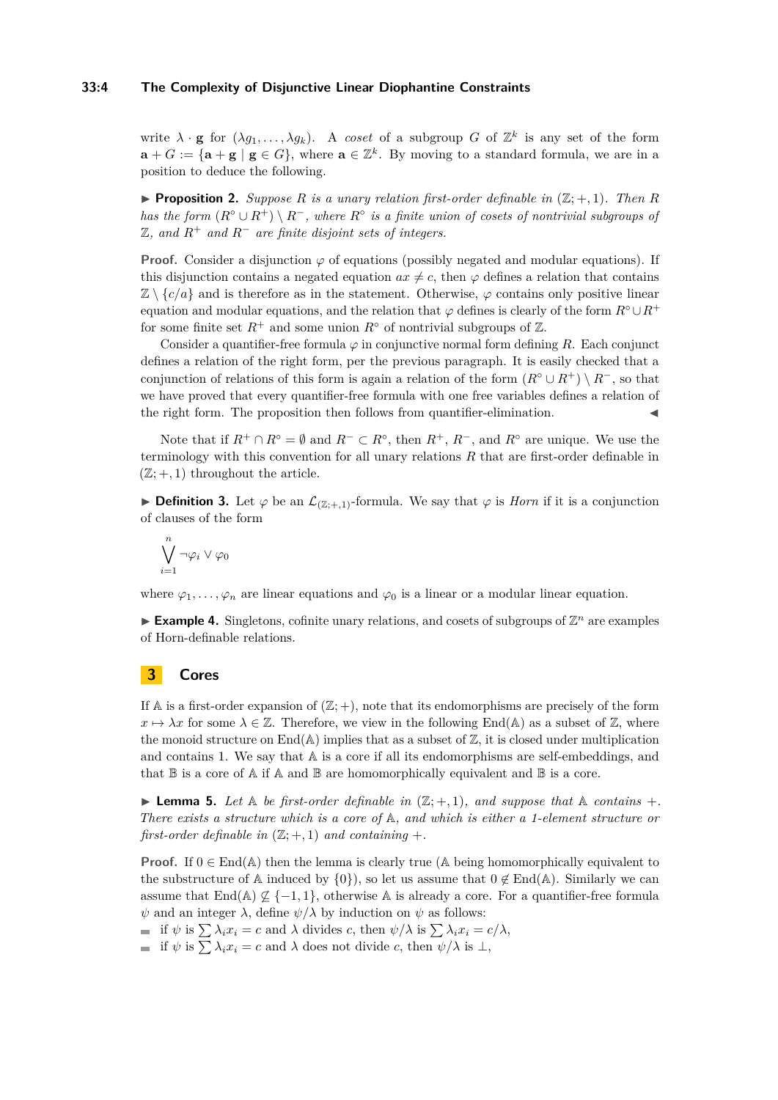## **33:4 The Complexity of Disjunctive Linear Diophantine Constraints**

write  $\lambda \cdot \mathbf{g}$  for  $(\lambda g_1, \ldots, \lambda g_k)$ . A *coset* of a subgroup *G* of  $\mathbb{Z}^k$  is any set of the form  $\mathbf{a} + G := \{ \mathbf{a} + \mathbf{g} \mid \mathbf{g} \in G \}$ , where  $\mathbf{a} \in \mathbb{Z}^k$ . By moving to a standard formula, we are in a position to deduce the following.

**Proposition 2.** Suppose R is a unary relation first-order definable in  $(\mathbb{Z}; +, 1)$ . Then R *has the form*  $(R° \cup R^+) \setminus R^-$ , where  $R°$  *is a finite union of cosets of nontrivial subgroups of* Z*, and R*<sup>+</sup> *and R*<sup>−</sup> *are finite disjoint sets of integers.*

**Proof.** Consider a disjunction  $\varphi$  of equations (possibly negated and modular equations). If this disjunction contains a negated equation  $ax \neq c$ , then  $\varphi$  defines a relation that contains  $\mathbb{Z} \setminus \{c/a\}$  and is therefore as in the statement. Otherwise,  $\varphi$  contains only positive linear equation and modular equations, and the relation that  $\varphi$  defines is clearly of the form  $R^\circ \cup R^+$ for some finite set  $R^+$  and some union  $R^{\circ}$  of nontrivial subgroups of  $\mathbb{Z}$ .

Consider a quantifier-free formula  $\varphi$  in conjunctive normal form defining *R*. Each conjunct defines a relation of the right form, per the previous paragraph. It is easily checked that a conjunction of relations of this form is again a relation of the form  $(R<sup>°</sup> \cup R<sup>+</sup>) \setminus R<sup>-</sup>$ , so that we have proved that every quantifier-free formula with one free variables defines a relation of the right form. The proposition then follows from quantifier-elimination.

Note that if  $R^+ \cap R^{\circ} = \emptyset$  and  $R^- \subset R^{\circ}$ , then  $R^+$ ,  $R^-$ , and  $R^{\circ}$  are unique. We use the terminology with this convention for all unary relations *R* that are first-order definable in  $(\mathbb{Z}; +, 1)$  throughout the article.

**► Definition 3.** Let  $\varphi$  be an  $\mathcal{L}_{(\mathbb{Z};+1)}$ -formula. We say that  $\varphi$  is *Horn* if it is a conjunction of clauses of the form

$$
\bigvee_{i=1}^n\neg\varphi_i\vee\varphi_0
$$

where  $\varphi_1, \ldots, \varphi_n$  are linear equations and  $\varphi_0$  is a linear or a modular linear equation.

 $\blacktriangleright$  **Example 4.** Singletons, cofinite unary relations, and cosets of subgroups of  $\mathbb{Z}^n$  are examples of Horn-definable relations.

# **3 Cores**

If A is a first-order expansion of  $(\mathbb{Z}; +)$ , note that its endomorphisms are precisely of the form  $x \mapsto \lambda x$  for some  $\lambda \in \mathbb{Z}$ . Therefore, we view in the following End(A) as a subset of  $\mathbb{Z}$ , where the monoid structure on  $\text{End}(\mathbb{A})$  implies that as a subset of  $\mathbb{Z}$ , it is closed under multiplication and contains 1. We say that  $A$  is a core if all its endomorphisms are self-embeddings, and that  $\mathbb B$  is a core of  $\mathbb A$  if  $\mathbb A$  and  $\mathbb B$  are homomorphically equivalent and  $\mathbb B$  is a core.

<span id="page-3-0"></span>**I Lemma 5.** Let  $\mathbb{A}$  be first-order definable in  $(\mathbb{Z}; +, 1)$ , and suppose that  $\mathbb{A}$  contains  $+$ . *There exists a structure which is a core of* A*, and which is either a 1-element structure or first-order definable in*  $(\mathbb{Z}; +, 1)$  *and containing*  $+$ *.* 

**Proof.** If  $0 \in \text{End}(\mathbb{A})$  then the lemma is clearly true ( $\mathbb{A}$  being homomorphically equivalent to the substructure of A induced by  $\{0\}$ , so let us assume that  $0 \notin End(A)$ . Similarly we can assume that End(A)  $\nsubseteq$  {-1, 1}, otherwise A is already a core. For a quantifier-free formula *ψ* and an integer  $\lambda$ , define  $\psi/\lambda$  by induction on *ψ* as follows:

if  $\psi$  is  $\sum \lambda_i x_i = c$  and  $\lambda$  divides *c*, then  $\psi/\lambda$  is  $\sum \lambda_i x_i = c/\lambda$ ,

if  $\psi$  is  $\sum \lambda_i x_i = c$  and  $\lambda$  does not divide *c*, then  $\psi/\lambda$  is  $\bot$ ,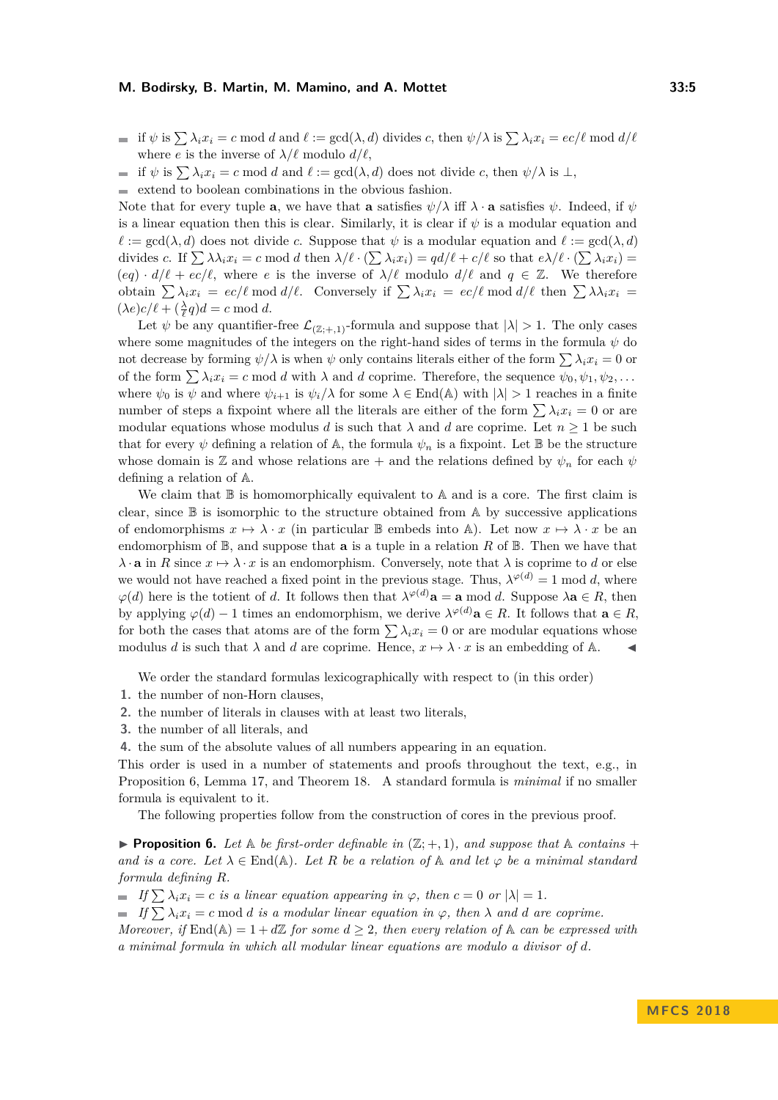if  $\psi$  is  $\sum \lambda_i x_i = c \mod d$  and  $\ell := \gcd(\lambda, d)$  divides *c*, then  $\psi/\lambda$  is  $\sum \lambda_i x_i = \epsilon c/\ell \mod d/\ell$ where *e* is the inverse of  $\lambda/\ell$  modulo  $d/\ell$ ,

if  $\psi$  is  $\sum \lambda_i x_i = c \mod d$  and  $\ell := \gcd(\lambda, d)$  does not divide *c*, then  $\psi/\lambda$  is  $\bot$ ,  $\sim$ 

 $\blacksquare$ extend to boolean combinations in the obvious fashion.

Note that for every tuple **a**, we have that **a** satisfies  $\psi/\lambda$  iff  $\lambda \cdot \mathbf{a}$  satisfies  $\psi$ . Indeed, if  $\psi$ is a linear equation then this is clear. Similarly, it is clear if *ψ* is a modular equation and  $\ell := \gcd(\lambda, d)$  does not divide *c*. Suppose that  $\psi$  is a modular equation and  $\ell := \gcd(\lambda, d)$ divides *c*. If  $\sum \lambda \lambda_i x_i = c \mod d$  then  $\lambda/\ell \cdot (\sum \lambda_i x_i) = qd/\ell + c/\ell$  so that  $e\lambda/\ell \cdot (\sum \lambda_i x_i) =$  $(eq) \cdot d/\ell + ec/\ell$ , where *e* is the inverse of  $\lambda/\ell$  modulo  $d/\ell$  and  $q \in \mathbb{Z}$ . We therefore obtain  $\sum \lambda_i x_i = ec/\ell \mod d/\ell$ . Conversely if  $\sum \lambda_i x_i = ec/\ell \mod d/\ell$  then  $\sum \lambda_i x_i =$  $(\lambda e)c/\ell + (\frac{\lambda}{\ell}q)d = c \text{ mod } d.$ 

Let  $\psi$  be any quantifier-free  $\mathcal{L}_{(\mathbb{Z};+1)}$ -formula and suppose that  $|\lambda| > 1$ . The only cases where some magnitudes of the integers on the right-hand sides of terms in the formula *ψ* do not decrease by forming  $\psi/\lambda$  is when  $\psi$  only contains literals either of the form  $\sum \lambda_i x_i = 0$  or of the form  $\sum \lambda_i x_i = c \mod d$  with  $\lambda$  and  $d$  coprime. Therefore, the sequence  $\psi_0, \psi_1, \psi_2, \dots$ where  $\psi_0$  is  $\psi$  and where  $\psi_{i+1}$  is  $\psi_i/\lambda$  for some  $\lambda \in \text{End}(\mathbb{A})$  with  $|\lambda| > 1$  reaches in a finite number of steps a fixpoint where all the literals are either of the form  $\sum \lambda_i x_i = 0$  or are modular equations whose modulus *d* is such that  $\lambda$  and *d* are coprime. Let  $n \geq 1$  be such that for every  $\psi$  defining a relation of A, the formula  $\psi_n$  is a fixpoint. Let B be the structure whose domain is Z and whose relations are  $+$  and the relations defined by  $\psi_n$  for each  $\psi$ defining a relation of A.

We claim that  $\mathbb B$  is homomorphically equivalent to  $\mathbb A$  and is a core. The first claim is clear, since  $\mathbb B$  is isomorphic to the structure obtained from  $\mathbb A$  by successive applications of endomorphisms  $x \mapsto \lambda \cdot x$  (in particular B embeds into A). Let now  $x \mapsto \lambda \cdot x$  be an endomorphism of  $\mathbb{B}$ , and suppose that **a** is a tuple in a relation R of  $\mathbb{B}$ . Then we have that  $\lambda \cdot \mathbf{a}$  in *R* since  $x \mapsto \lambda \cdot x$  is an endomorphism. Conversely, note that  $\lambda$  is coprime to *d* or else we would not have reached a fixed point in the previous stage. Thus,  $\lambda^{\varphi(d)} = 1 \text{ mod } d$ , where  $\varphi(d)$  here is the totient of *d*. It follows then that  $\lambda^{\varphi(d)}$ **a** = **a** mod *d*. Suppose  $\lambda$ **a**  $\in$  *R*, then by applying  $\varphi(d) - 1$  times an endomorphism, we derive  $\lambda^{\varphi(d)}\mathbf{a} \in R$ . It follows that  $\mathbf{a} \in R$ , for both the cases that atoms are of the form  $\sum \lambda_i x_i = 0$  or are modular equations whose modulus *d* is such that  $\lambda$  and *d* are coprime. Hence,  $x \mapsto \lambda \cdot x$  is an embedding of A.

We order the standard formulas lexicographically with respect to (in this order)

- **1.** the number of non-Horn clauses,
- **2.** the number of literals in clauses with at least two literals,
- **3.** the number of all literals, and

**4.** the sum of the absolute values of all numbers appearing in an equation.

This order is used in a number of statements and proofs throughout the text, e.g., in Proposition [6,](#page-4-0) Lemma [17,](#page-9-0) and Theorem [18.](#page-10-0) A standard formula is *minimal* if no smaller formula is equivalent to it.

The following properties follow from the construction of cores in the previous proof.

<span id="page-4-0"></span>**Proposition 6.** Let  $\mathbb{A}$  be first-order definable in  $(\mathbb{Z}; +, 1)$ , and suppose that  $\mathbb{A}$  contains + *and is a core. Let*  $\lambda \in \text{End}(\mathbb{A})$ *. Let R be a relation of*  $\mathbb{A}$  *and let*  $\varphi$  *be a minimal standard formula defining R.*

 $\blacksquare$  *If*  $\sum \lambda_i x_i = c$  *is a linear equation appearing in*  $\varphi$ *, then*  $c = 0$  *or*  $|\lambda| = 1$ *.* 

 $\blacksquare$  *If*  $\sum \lambda_i x_i = c \mod d$  *is a modular linear equation in*  $\varphi$ *, then*  $\lambda$  *and d are coprime.* 

*Moreover, if*  $\text{End}(\mathbb{A}) = 1 + d\mathbb{Z}$  *for some*  $d \geq 2$ *, then every relation of*  $\mathbb{A}$  *can be expressed with a minimal formula in which all modular linear equations are modulo a divisor of d.*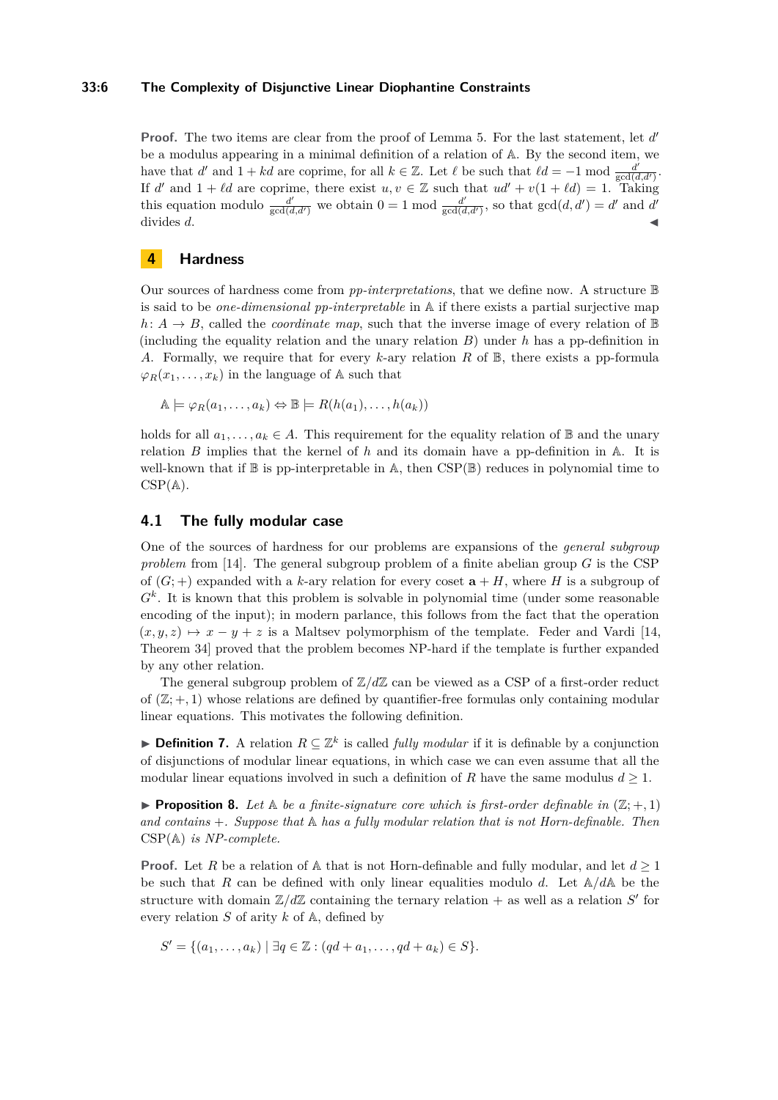## **33:6 The Complexity of Disjunctive Linear Diophantine Constraints**

Proof. The two items are clear from the proof of Lemma [5.](#page-3-0) For the last statement, let d' be a modulus appearing in a minimal definition of a relation of A. By the second item, we have that *d'* and  $1 + kd$  are coprime, for all  $k \in \mathbb{Z}$ . Let  $\ell$  be such that  $\ell d = -1$  mod  $\frac{d^2}{gcd(\ell)}$  $\frac{d^r}{\gcd(d,d^r)}$ . If *d'* and  $1 + \ell d$  are coprime, there exist  $u, v \in \mathbb{Z}$  such that  $ud' + v(1 + \ell d) = 1$ . Taking this equation modulo  $\frac{d'}{\gcd(d,d')}$  we obtain  $0 = 1 \mod \frac{d'}{\gcd(d')}$  $\frac{d'}{\gcd(d,d')}$ , so that  $gcd(d,d') = d'$  and *d'*  $\frac{1}{2}$  divides *d*.

# **4 Hardness**

Our sources of hardness come from *pp-interpretations*, that we define now. A structure B is said to be *one-dimensional pp-interpretable* in A if there exists a partial surjective map  $h: A \rightarrow B$ , called the *coordinate map*, such that the inverse image of every relation of  $\mathbb{B}$ (including the equality relation and the unary relation *B*) under *h* has a pp-definition in *A*. Formally, we require that for every *k*-ary relation *R* of B, there exists a pp-formula  $\varphi_R(x_1,\ldots,x_k)$  in the language of A such that

$$
\mathbb{A}\models \varphi_R(a_1,\ldots,a_k)\Leftrightarrow \mathbb{B}\models R(h(a_1),\ldots,h(a_k))
$$

holds for all  $a_1, \ldots, a_k \in A$ . This requirement for the equality relation of B and the unary relation *B* implies that the kernel of *h* and its domain have a pp-definition in A. It is well-known that if  $\mathbb B$  is pp-interpretable in  $\mathbb A$ , then  $CSP(\mathbb B)$  reduces in polynomial time to  $CSP(A)$ .

## **4.1 The fully modular case**

One of the sources of hardness for our problems are expansions of the *general subgroup problem* from [\[14\]](#page-14-0). The general subgroup problem of a finite abelian group *G* is the CSP of  $(G;+)$  expanded with a *k*-ary relation for every coset  $\mathbf{a} + H$ , where *H* is a subgroup of  $G^k$ . It is known that this problem is solvable in polynomial time (under some reasonable encoding of the input); in modern parlance, this follows from the fact that the operation  $(x, y, z) \mapsto x - y + z$  is a Maltsev polymorphism of the template. Feder and Vardi [\[14,](#page-14-0) Theorem 34] proved that the problem becomes NP-hard if the template is further expanded by any other relation.

The general subgroup problem of  $\mathbb{Z}/d\mathbb{Z}$  can be viewed as a CSP of a first-order reduct of  $(\mathbb{Z}; +, 1)$  whose relations are defined by quantifier-free formulas only containing modular linear equations. This motivates the following definition.

**► Definition 7.** A relation  $R \subseteq \mathbb{Z}^k$  is called *fully modular* if it is definable by a conjunction of disjunctions of modular linear equations, in which case we can even assume that all the modular linear equations involved in such a definition of *R* have the same modulus  $d \geq 1$ .

<span id="page-5-0"></span>**Proposition 8.** Let  $\mathbb{A}$  be a finite-signature core which is first-order definable in  $(\mathbb{Z}; +, 1)$ *and contains* +*. Suppose that* A *has a fully modular relation that is not Horn-definable. Then* CSP(A) *is NP-complete.*

**Proof.** Let *R* be a relation of  $\mathbb A$  that is not Horn-definable and fully modular, and let  $d \geq 1$ be such that *R* can be defined with only linear equalities modulo *d*. Let A*/d*A be the structure with domain  $\mathbb{Z}/d\mathbb{Z}$  containing the ternary relation  $+$  as well as a relation *S'* for every relation *S* of arity *k* of A, defined by

$$
S' = \{(a_1, \ldots, a_k) \mid \exists q \in \mathbb{Z} : (qd + a_1, \ldots, qd + a_k) \in S\}.
$$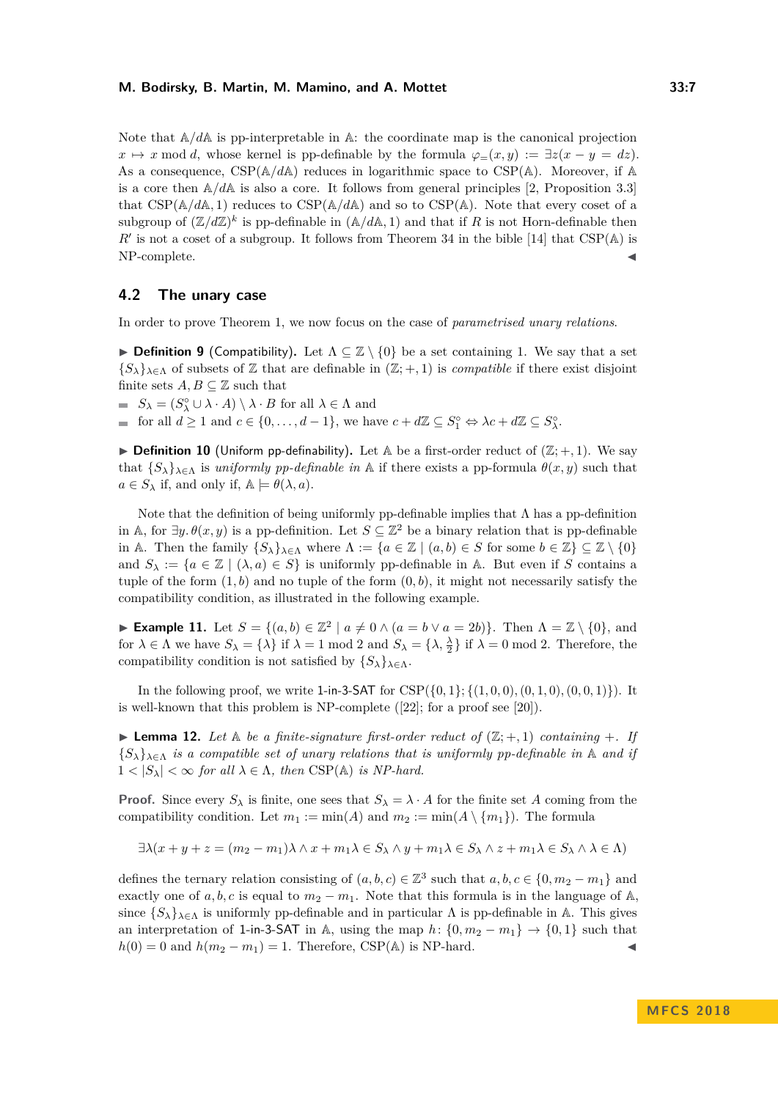Note that  $\mathbb{A}/d\mathbb{A}$  is pp-interpretable in  $\mathbb{A}$ : the coordinate map is the canonical projection  $x \mapsto x \mod d$ , whose kernel is pp-definable by the formula  $\varphi(x, y) := \exists z(x - y = dz)$ . As a consequence,  $CSP(\mathbb{A}/d\mathbb{A})$  reduces in logarithmic space to  $CSP(\mathbb{A})$ . Moreover, if  $\mathbb{A}$ is a core then  $A/dA$  is also a core. It follows from general principles [\[2,](#page-13-2) Proposition 3.3] that  $CSP(\mathbb{A}/d\mathbb{A}, 1)$  reduces to  $CSP(\mathbb{A}/d\mathbb{A})$  and so to  $CSP(\mathbb{A})$ . Note that every coset of a subgroup of  $(\mathbb{Z}/d\mathbb{Z})^k$  is pp-definable in  $(\mathbb{A}/d\mathbb{A}, 1)$  and that if *R* is not Horn-definable then  $R'$  is not a coset of a subgroup. It follows from Theorem 34 in the bible [\[14\]](#page-14-0) that  $CSP(A)$  is NP-complete.

## **4.2 The unary case**

In order to prove Theorem [1,](#page-1-0) we now focus on the case of *parametrised unary relations*.

**Definition 9** (Compatibility). Let  $\Lambda \subseteq \mathbb{Z} \setminus \{0\}$  be a set containing 1. We say that a set  ${S_{\lambda}}_{\lambda \in \Lambda}$  of subsets of Z that are definable in  $(\mathbb{Z}; +, 1)$  is *compatible* if there exist disjoint finite sets  $A, B \subseteq \mathbb{Z}$  such that

 $S_{\lambda} = (S_{\lambda}^{\circ} \cup \lambda \cdot A) \setminus \lambda \cdot B$  for all  $\lambda \in \Lambda$  and

for all  $d \ge 1$  and  $c \in \{0, \ldots, d-1\}$ , we have  $c + d\mathbb{Z} \subseteq S_1^{\circ} \Leftrightarrow \lambda c + d\mathbb{Z} \subseteq S_\lambda^{\circ}$ .

**Definition 10** (Uniform pp-definability). Let  $A$  be a first-order reduct of  $(\mathbb{Z}; +, 1)$ . We say that  ${\{S_\lambda\}}_{\lambda \in \Lambda}$  is *uniformly pp-definable in* A if there exists a pp-formula  $\theta(x, y)$  such that  $a \in S_\lambda$  if, and only if,  $A \models \theta(\lambda, a)$ .

Note that the definition of being uniformly pp-definable implies that  $\Lambda$  has a pp-definition in A, for  $\exists y.\theta(x,y)$  is a pp-definition. Let  $S \subseteq \mathbb{Z}^2$  be a binary relation that is pp-definable in A. Then the family  $\{S_{\lambda}\}_{{\lambda \in \Lambda}}$  where  $\Lambda := \{a \in \mathbb{Z} \mid (a, b) \in S \text{ for some } b \in \mathbb{Z}\} \subseteq \mathbb{Z} \setminus \{0\}$ and  $S_\lambda := \{a \in \mathbb{Z} \mid (\lambda, a) \in S\}$  is uniformly pp-definable in A. But even if *S* contains a tuple of the form  $(1, b)$  and no tuple of the form  $(0, b)$ , it might not necessarily satisfy the compatibility condition, as illustrated in the following example.

► **Example 11.** Let  $S = \{(a, b) \in \mathbb{Z}^2 \mid a \neq 0 \land (a = b \lor a = 2b)\}\)$ . Then  $\Lambda = \mathbb{Z} \setminus \{0\}$ , and for  $\lambda \in \Lambda$  we have  $S_{\lambda} = {\lambda}$  if  $\lambda = 1 \text{ mod } 2$  and  $S_{\lambda} = {\lambda}$ ,  $\frac{\lambda}{2}$  if  $\lambda = 0 \text{ mod } 2$ . Therefore, the compatibility condition is not satisfied by  $\{S_\lambda\}_{\lambda \in \Lambda}$ .

In the following proof, we write 1-in-3-SAT for  $CSP({0,1}; {(1,0,0), (0,1,0), (0,0,1)}$ . It is well-known that this problem is NP-complete ([\[22\]](#page-15-4); for a proof see [\[20\]](#page-14-17)).

<span id="page-6-0"></span> $\blacktriangleright$  **Lemma 12.** Let  $\mathbb{A}$  be a finite-signature first-order reduct of  $(\mathbb{Z}; +, 1)$  containing  $+$ . If  ${S_{\lambda}}_{\lambda \in \Lambda}$  *is a compatible set of unary relations that is uniformly pp-definable in*  $\Lambda$  *and if*  $1 < |S_\lambda| < \infty$  for all  $\lambda \in \Lambda$ , then CSP(A) is NP-hard.

**Proof.** Since every  $S_\lambda$  is finite, one sees that  $S_\lambda = \lambda \cdot A$  for the finite set *A* coming from the compatibility condition. Let  $m_1 := min(A)$  and  $m_2 := min(A \setminus \{m_1\})$ . The formula

$$
\exists \lambda (x + y + z = (m_2 - m_1)\lambda \wedge x + m_1\lambda \in S_\lambda \wedge y + m_1\lambda \in S_\lambda \wedge z + m_1\lambda \in S_\lambda \wedge \lambda \in \Lambda)
$$

defines the ternary relation consisting of  $(a, b, c) \in \mathbb{Z}^3$  such that  $a, b, c \in \{0, m_2 - m_1\}$  and exactly one of  $a, b, c$  is equal to  $m_2 - m_1$ . Note that this formula is in the language of A, since  $\{S_{\lambda}\}_{\lambda \in \Lambda}$  is uniformly pp-definable and in particular  $\Lambda$  is pp-definable in A. This gives an interpretation of 1-in-3-SAT in A, using the map  $h: \{0, m_2 - m_1\} \to \{0, 1\}$  such that  $h(0) = 0$  and  $h(m_2 - m_1) = 1$ . Therefore, CSP(A) is NP-hard.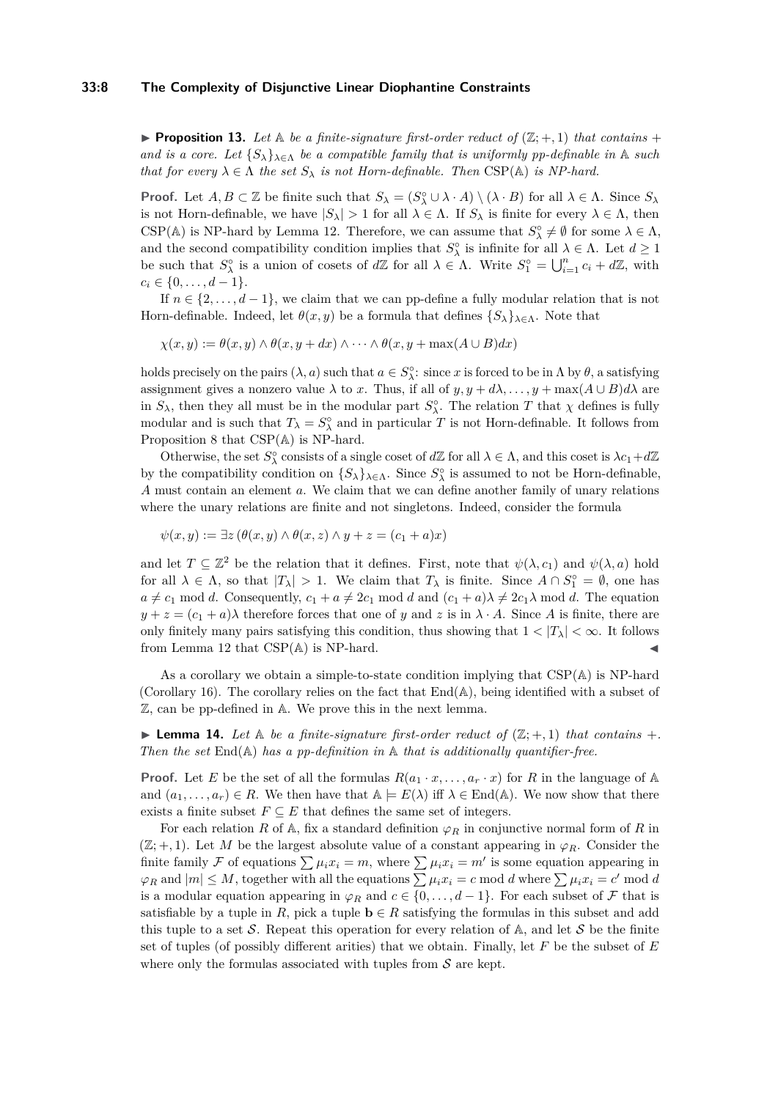#### **33:8 The Complexity of Disjunctive Linear Diophantine Constraints**

<span id="page-7-1"></span>**Proposition 13.** Let  $\mathbb{A}$  be a finite-signature first-order reduct of  $(\mathbb{Z}; +, 1)$  that contains + *and is a core. Let*  ${S_\lambda}_{\lambda \in \Lambda}$  *be a compatible family that is uniformly pp-definable in* A *such that for every*  $\lambda \in \Lambda$  *the set*  $S_{\lambda}$  *is not Horn-definable. Then* CSP( $\mathbb{A}$ ) *is NP-hard.* 

**Proof.** Let  $A, B \subset \mathbb{Z}$  be finite such that  $S_{\lambda} = (S_{\lambda}^{\circ} \cup \lambda \cdot A) \setminus (\lambda \cdot B)$  for all  $\lambda \in \Lambda$ . Since  $S_{\lambda}$ is not Horn-definable, we have  $|S_\lambda| > 1$  for all  $\lambda \in \Lambda$ . If  $S_\lambda$  is finite for every  $\lambda \in \Lambda$ , then CSP( $\mathbb{A}$ ) is NP-hard by Lemma [12.](#page-6-0) Therefore, we can assume that  $S_{\lambda}^{\circ} \neq \emptyset$  for some  $\lambda \in \Lambda$ , and the second compatibility condition implies that  $S^{\circ}_{\lambda}$  is infinite for all  $\lambda \in \Lambda$ . Let  $d \geq 1$ be such that  $S_{\lambda}^{\circ}$  is a union of cosets of  $d\mathbb{Z}$  for all  $\lambda \in \Lambda$ . Write  $S_1^{\circ} = \bigcup_{i=1}^n c_i + d\mathbb{Z}$ , with  $c_i \in \{0, \ldots, d-1\}.$ 

If  $n \in \{2, \ldots, d-1\}$ , we claim that we can pp-define a fully modular relation that is not Horn-definable. Indeed, let  $\theta(x, y)$  be a formula that defines  $\{S_{\lambda}\}_{{\lambda \in {\Lambda}}}$ . Note that

 $\chi(x, y) := \theta(x, y) \wedge \theta(x, y + dx) \wedge \cdots \wedge \theta(x, y + \max(A \cup B) dx)$ 

holds precisely on the pairs  $(\lambda, a)$  such that  $a \in S_\lambda^\circ$ : since *x* is forced to be in  $\Lambda$  by  $\theta$ , a satisfying assignment gives a nonzero value  $\lambda$  to *x*. Thus, if all of  $y, y + d\lambda, \ldots, y + \max(A \cup B) d\lambda$  are in  $S_\lambda$ , then they all must be in the modular part  $S_\lambda^{\circ}$ . The relation *T* that  $\chi$  defines is fully modular and is such that  $T_{\lambda} = S_{\lambda}^{\circ}$  and in particular *T* is not Horn-definable. It follows from Proposition [8](#page-5-0) that CSP(A) is NP-hard.

Otherwise, the set  $S^{\circ}_{\lambda}$  consists of a single coset of  $d\mathbb{Z}$  for all  $\lambda \in \Lambda$ , and this coset is  $\lambda c_1 + d\mathbb{Z}$ by the compatibility condition on  $\{S_{\lambda}\}_{\lambda \in \Lambda}$ . Since  $S_{\lambda}^{\circ}$  is assumed to not be Horn-definable, *A* must contain an element *a*. We claim that we can define another family of unary relations where the unary relations are finite and not singletons. Indeed, consider the formula

$$
\psi(x, y) := \exists z \left( \theta(x, y) \land \theta(x, z) \land y + z = (c_1 + a)x \right)
$$

and let  $T \subseteq \mathbb{Z}^2$  be the relation that it defines. First, note that  $\psi(\lambda, c_1)$  and  $\psi(\lambda, a)$  hold for all  $\lambda \in \Lambda$ , so that  $|T_{\lambda}| > 1$ . We claim that  $T_{\lambda}$  is finite. Since  $A \cap S_1^{\circ} = \emptyset$ , one has  $a \neq c_1 \mod d$ . Consequently,  $c_1 + a \neq 2c_1 \mod d$  and  $(c_1 + a)\lambda \neq 2c_1\lambda \mod d$ . The equation  $y + z = (c_1 + a)\lambda$  therefore forces that one of *y* and *z* is in  $\lambda \cdot A$ . Since *A* is finite, there are only finitely many pairs satisfying this condition, thus showing that  $1 < |T_\lambda| < \infty$ . It follows from Lemma [12](#page-6-0) that  $CSP(A)$  is NP-hard.

As a corollary we obtain a simple-to-state condition implying that CSP(A) is NP-hard (Corollary [16\)](#page-8-0). The corollary relies on the fact that End(A), being identified with a subset of Z, can be pp-defined in A. We prove this in the next lemma.

<span id="page-7-0"></span>**I Lemma 14.** Let  $\mathbb A$  be a finite-signature first-order reduct of  $(\mathbb{Z}; +, 1)$  that contains  $+$ . *Then the set* End(A) *has a pp-definition in* A *that is additionally quantifier-free.*

**Proof.** Let *E* be the set of all the formulas  $R(a_1 \cdot x, \ldots, a_r \cdot x)$  for *R* in the language of A and  $(a_1, \ldots, a_r) \in R$ . We then have that  $A \models E(\lambda)$  iff  $\lambda \in End(A)$ . We now show that there exists a finite subset  $F \subseteq E$  that defines the same set of integers.

For each relation *R* of  $\mathbb{A}$ , fix a standard definition  $\varphi_R$  in conjunctive normal form of *R* in  $(\mathbb{Z}; +, 1)$ . Let *M* be the largest absolute value of a constant appearing in  $\varphi_R$ . Consider the finite family F of equations  $\sum \mu_i x_i = m$ , where  $\sum \mu_i x_i = m'$  is some equation appearing in  $\varphi_R$  and  $|m| \leq M$ , together with all the equations  $\sum \mu_i x_i = c \mod d$  where  $\sum \mu_i x_i = c' \mod d$ is a modular equation appearing in  $\varphi_R$  and  $c \in \{0, \ldots, d-1\}$ . For each subset of F that is satisfiable by a tuple in *R*, pick a tuple  $\mathbf{b} \in R$  satisfying the formulas in this subset and add this tuple to a set S. Repeat this operation for every relation of  $\mathbb{A}$ , and let S be the finite set of tuples (of possibly different arities) that we obtain. Finally, let *F* be the subset of *E* where only the formulas associated with tuples from  $S$  are kept.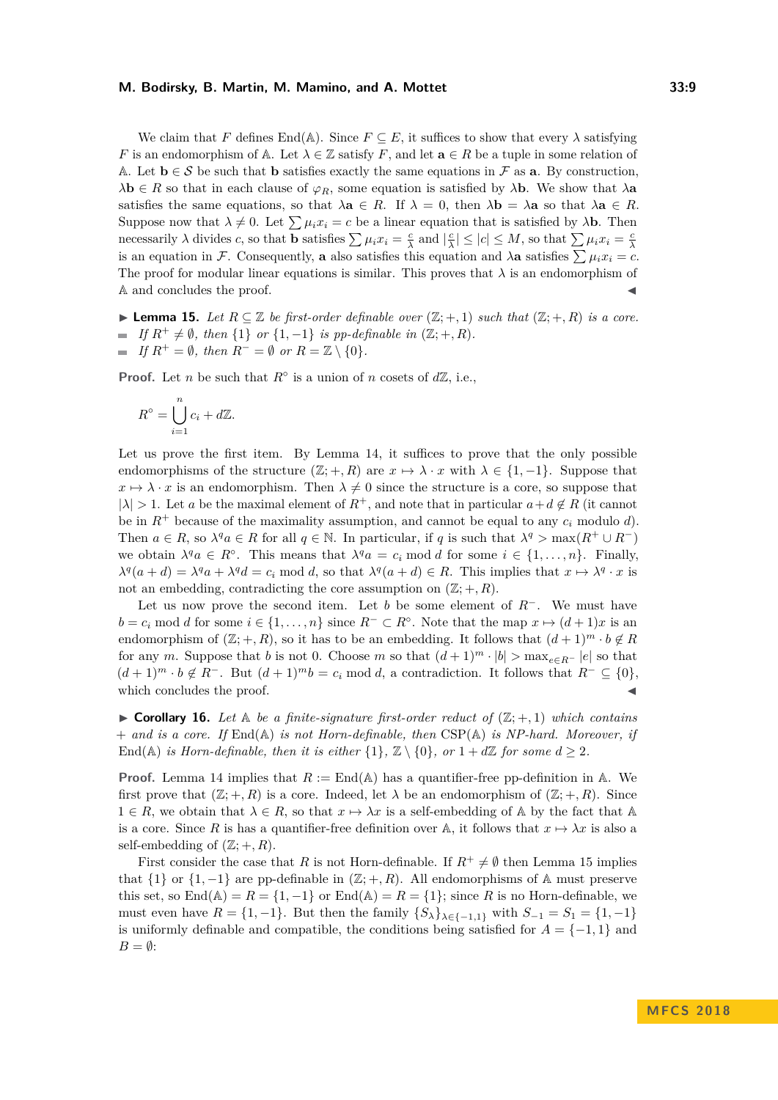We claim that *F* defines End(A). Since  $F \subseteq E$ , it suffices to show that every  $\lambda$  satisfying *F* is an endomorphism of  $\mathbb{A}$ . Let  $\lambda \in \mathbb{Z}$  satisfy *F*, and let  $\mathbf{a} \in R$  be a tuple in some relation of A. Let  $\mathbf{b} \in \mathcal{S}$  be such that **b** satisfies exactly the same equations in F as **a**. By construction, *λ***b** ∈ *R* so that in each clause of  $\varphi_R$ , some equation is satisfied by *λ***b**. We show that *λ***a** satisfies the same equations, so that  $\lambda \mathbf{a} \in R$ . If  $\lambda = 0$ , then  $\lambda \mathbf{b} = \lambda \mathbf{a}$  so that  $\lambda \mathbf{a} \in R$ . Suppose now that  $\lambda \neq 0$ . Let  $\sum \mu_i x_i = c$  be a linear equation that is satisfied by  $\lambda$ **b**. Then necessarily  $\lambda$  divides c, so that **b** satisfies  $\sum \mu_i x_i = \frac{c}{\lambda}$  and  $|\frac{c}{\lambda}| \leq |c| \leq M$ , so that  $\sum \mu_i x_i = \frac{c}{\lambda}$ is an equation in F. Consequently, **a** also satisfies this equation and  $\lambda$ **a** satisfies  $\sum \mu_i x_i = c$ . The proof for modular linear equations is similar. This proves that  $\lambda$  is an endomorphism of A and concludes the proof.

<span id="page-8-1"></span>► **Lemma 15.** Let  $R \subseteq \mathbb{Z}$  be first-order definable over  $(\mathbb{Z}; +, 1)$  such that  $(\mathbb{Z}; +, R)$  is a core.  $\blacksquare$  *If*  $R^+ \neq \emptyset$ *, then* {1} *or* {1*,* −1} *is pp-definable in* (Z; +*, R*)*.*  $\blacksquare$  *If*  $R^+ = \emptyset$ *, then*  $R^- = \emptyset$  *or*  $R = \mathbb{Z} \setminus \{0\}.$ 

**Proof.** Let *n* be such that  $R^\circ$  is a union of *n* cosets of  $d\mathbb{Z}$ , i.e.,

$$
R^{\circ} = \bigcup_{i=1}^{n} c_i + d\mathbb{Z}.
$$

Let us prove the first item. By Lemma [14,](#page-7-0) it suffices to prove that the only possible endomorphisms of the structure  $(\mathbb{Z}; +, R)$  are  $x \mapsto \lambda \cdot x$  with  $\lambda \in \{1, -1\}$ . Suppose that  $x \mapsto \lambda \cdot x$  is an endomorphism. Then  $\lambda \neq 0$  since the structure is a core, so suppose that  $|\lambda| > 1$ . Let *a* be the maximal element of  $R^+$ , and note that in particular  $a + d \notin R$  (it cannot be in  $R^+$  because of the maximality assumption, and cannot be equal to any  $c_i$  modulo *d*). Then  $a \in R$ , so  $\lambda^q a \in R$  for all  $q \in \mathbb{N}$ . In particular, if *q* is such that  $\lambda^q > \max(R^+ \cup R^-)$ we obtain  $\lambda^q a \in R^\circ$ . This means that  $\lambda^q a = c_i \text{ mod } d$  for some  $i \in \{1, ..., n\}$ . Finally,  $\lambda^q(a+d) = \lambda^q a + \lambda^q d = c_i \text{ mod } d$ , so that  $\lambda^q(a+d) \in R$ . This implies that  $x \mapsto \lambda^q \cdot x$  is not an embedding, contradicting the core assumption on  $(\mathbb{Z}; +, R)$ .

Let us now prove the second item. Let *b* be some element of *R*<sup>−</sup>. We must have  $b = c_i \text{ mod } d$  for some  $i \in \{1, ..., n\}$  since  $R^- \subset R^\circ$ . Note that the map  $x \mapsto (d+1)x$  is an endomorphism of  $(\mathbb{Z}; +, R)$ , so it has to be an embedding. It follows that  $(d+1)^m \cdot b \notin R$ for any *m*. Suppose that *b* is not 0. Choose *m* so that  $(d+1)^m \cdot |b| > \max_{e \in R^-} |e|$  so that  $(d+1)^m \cdot b \notin R^-$ . But  $(d+1)^m b = c_i \text{ mod } d$ , a contradiction. It follows that  $R^- \subseteq \{0\}$ , which concludes the proof.

<span id="page-8-0"></span> $\triangleright$  **Corollary 16.** Let  $\mathbb{A}$  be a finite-signature first-order reduct of  $(\mathbb{Z}; +, 1)$  which contains + *and is a core. If* End(A) *is not Horn-definable, then* CSP(A) *is NP-hard. Moreover, if* End(A) *is Horn-definable, then it is either*  $\{1\}$ ,  $\mathbb{Z} \setminus \{0\}$ *, or*  $1 + d\mathbb{Z}$  *for some*  $d > 2$ *.* 

**Proof.** Lemma [14](#page-7-0) implies that  $R := \text{End}(\mathbb{A})$  has a quantifier-free pp-definition in  $\mathbb{A}$ . We first prove that  $(\mathbb{Z}; +, R)$  is a core. Indeed, let  $\lambda$  be an endomorphism of  $(\mathbb{Z}; +, R)$ . Since  $1 \in R$ , we obtain that  $\lambda \in R$ , so that  $x \mapsto \lambda x$  is a self-embedding of A by the fact that A is a core. Since R is has a quantifier-free definition over A, it follows that  $x \mapsto \lambda x$  is also a self-embedding of  $(\mathbb{Z};+,R)$ .

First consider the case that *R* is not Horn-definable. If  $R^+ \neq \emptyset$  then Lemma [15](#page-8-1) implies that  $\{1\}$  or  $\{1,-1\}$  are pp-definable in  $(\mathbb{Z};+,R)$ . All endomorphisms of A must preserve this set, so  $\text{End}(\mathbb{A}) = R = \{1, -1\}$  or  $\text{End}(\mathbb{A}) = R = \{1\}$ ; since R is no Horn-definable, we must even have  $R = \{1, -1\}$ . But then the family  $\{S_{\lambda}\}_{{\lambda}\in\{-1,1\}}$  with  $S_{-1} = S_1 = \{1, -1\}$ is uniformly definable and compatible, the conditions being satisfied for  $A = \{-1, 1\}$  and  $B = \emptyset$ :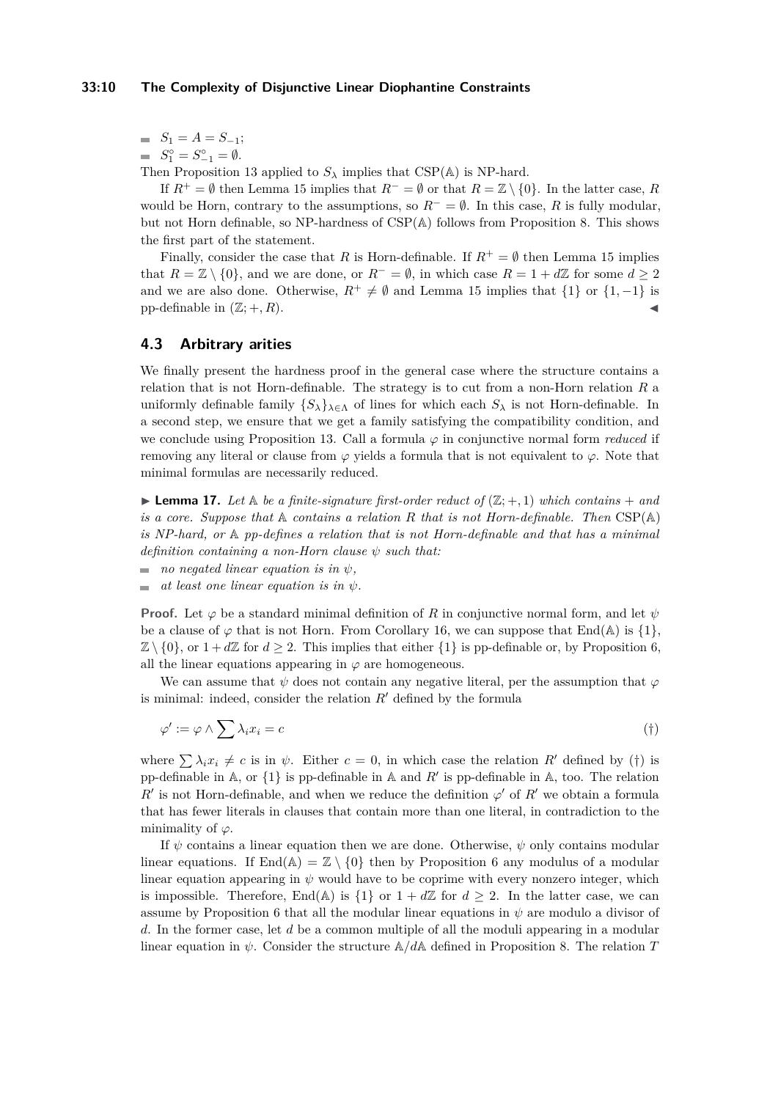$S_1 = A = S_{-1};$ 

 $S_1^{\circ} = S_{-1}^{\circ} = \emptyset.$ 

Then Proposition [13](#page-7-1) applied to  $S_\lambda$  implies that CSP( $\mathbb{A}$ ) is NP-hard.

If  $R^+ = \emptyset$  then Lemma [15](#page-8-1) implies that  $R^- = \emptyset$  or that  $R = \mathbb{Z} \setminus \{0\}$ . In the latter case, *R* would be Horn, contrary to the assumptions, so  $R^- = \emptyset$ . In this case, R is fully modular, but not Horn definable, so NP-hardness of CSP(A) follows from Proposition [8.](#page-5-0) This shows the first part of the statement.

Finally, consider the case that *R* is Horn-definable. If  $R^+ = \emptyset$  then Lemma [15](#page-8-1) implies that  $R = \mathbb{Z} \setminus \{0\}$ , and we are done, or  $R^- = \emptyset$ , in which case  $R = 1 + d\mathbb{Z}$  for some  $d \geq 2$ and we are also done. Otherwise,  $R^+ \neq \emptyset$  and Lemma [15](#page-8-1) implies that  $\{1\}$  or  $\{1, -1\}$  is pp-definable in  $(\mathbb{Z};+,R)$ .

## **4.3 Arbitrary arities**

We finally present the hardness proof in the general case where the structure contains a relation that is not Horn-definable. The strategy is to cut from a non-Horn relation *R* a uniformly definable family  $\{S_\lambda\}_{\lambda \in \Lambda}$  of lines for which each  $S_\lambda$  is not Horn-definable. In a second step, we ensure that we get a family satisfying the compatibility condition, and we conclude using Proposition [13.](#page-7-1) Call a formula *ϕ* in conjunctive normal form *reduced* if removing any literal or clause from  $\varphi$  yields a formula that is not equivalent to  $\varphi$ . Note that minimal formulas are necessarily reduced.

<span id="page-9-0"></span>**I Lemma 17.** Let  $\mathbb A$  be a finite-signature first-order reduct of  $(\mathbb{Z}; +, 1)$  which contains  $+$  and *is a core. Suppose that* A *contains a relation R that is not Horn-definable. Then* CSP(A) *is NP-hard, or* A *pp-defines a relation that is not Horn-definable and that has a minimal definition containing a non-Horn clause ψ such that:*

- $\blacksquare$  *no negated linear equation is in*  $\psi$ *,*
- *at least one linear equation is in ψ.*  $\overline{a}$

**Proof.** Let  $\varphi$  be a standard minimal definition of *R* in conjunctive normal form, and let  $\psi$ be a clause of  $\varphi$  that is not Horn. From Corollary [16,](#page-8-0) we can suppose that End(A) is  $\{1\}$ ,  $\mathbb{Z} \setminus \{0\}$ , or  $1 + d\mathbb{Z}$  for  $d \geq 2$ . This implies that either  $\{1\}$  is pp-definable or, by Proposition [6,](#page-4-0) all the linear equations appearing in  $\varphi$  are homogeneous.

We can assume that  $\psi$  does not contain any negative literal, per the assumption that  $\varphi$ is minimal: indeed, consider the relation  $R'$  defined by the formula

<span id="page-9-1"></span>
$$
\varphi' := \varphi \wedge \sum \lambda_i x_i = c \tag{\dagger}
$$

where  $\sum \lambda_i x_i \neq c$  is in  $\psi$ . Either  $c = 0$ , in which case the relation R' defined by ([†](#page-9-1)) is pp-definable in A, or  $\{1\}$  is pp-definable in A and  $R'$  is pp-definable in A, too. The relation *R*<sup> $\prime$ </sup> is not Horn-definable, and when we reduce the definition  $\varphi$ <sup> $\prime$ </sup> of *R*<sup> $\prime$ </sup> we obtain a formula that has fewer literals in clauses that contain more than one literal, in contradiction to the minimality of *ϕ*.

If *ψ* contains a linear equation then we are done. Otherwise, *ψ* only contains modular linear equations. If  $\text{End}(\mathbb{A}) = \mathbb{Z} \setminus \{0\}$  then by Proposition [6](#page-4-0) any modulus of a modular linear equation appearing in  $\psi$  would have to be coprime with every nonzero integer, which is impossible. Therefore, End( $\mathbb{A}$ ) is  $\{1\}$  or  $1 + d\mathbb{Z}$  for  $d \geq 2$ . In the latter case, we can assume by Proposition [6](#page-4-0) that all the modular linear equations in *ψ* are modulo a divisor of *d*. In the former case, let *d* be a common multiple of all the moduli appearing in a modular linear equation in *ψ*. Consider the structure A*/d*A defined in Proposition [8.](#page-5-0) The relation *T*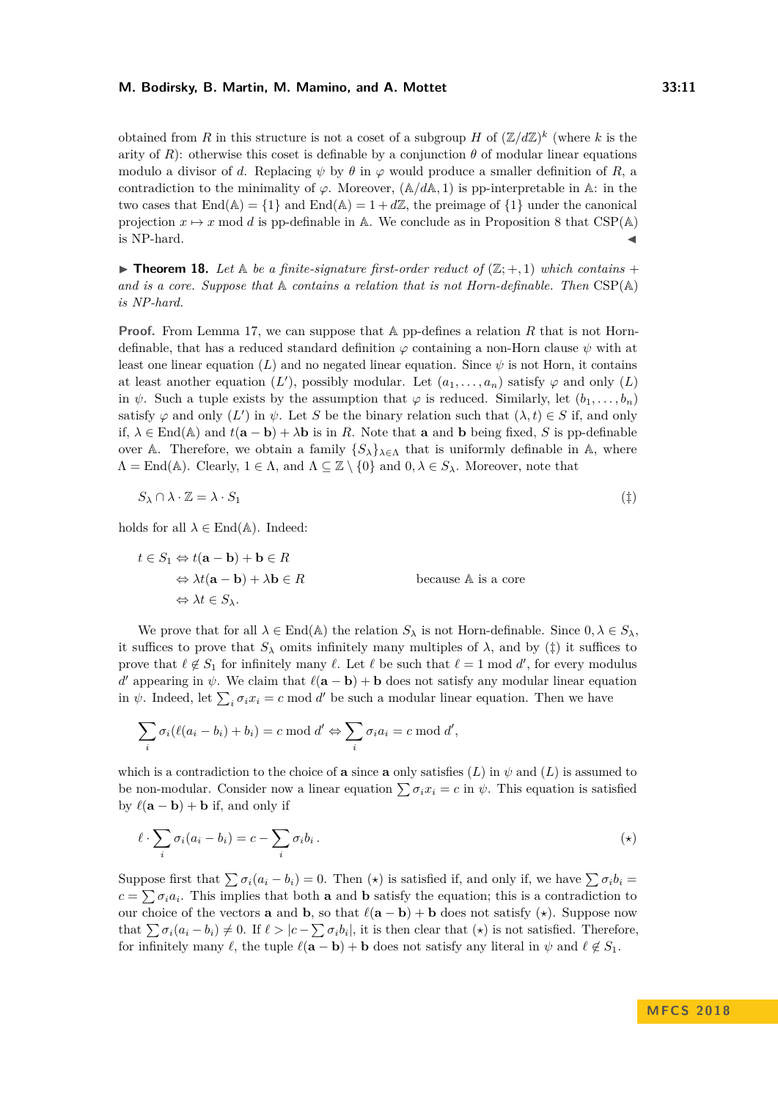obtained from *R* in this structure is not a coset of a subgroup *H* of  $(\mathbb{Z}/d\mathbb{Z})^k$  (where *k* is the arity of *R*): otherwise this coset is definable by a conjunction  $\theta$  of modular linear equations modulo a divisor of *d*. Replacing  $\psi$  by  $\theta$  in  $\varphi$  would produce a smaller definition of *R*, a contradiction to the minimality of  $\varphi$ . Moreover,  $(\mathbb{A}/d\mathbb{A}, 1)$  is pp-interpretable in A: in the two cases that  $\text{End}(\mathbb{A}) = \{1\}$  and  $\text{End}(\mathbb{A}) = 1 + d\mathbb{Z}$ , the preimage of  $\{1\}$  under the canonical projection  $x \mapsto x$  mod *d* is pp-definable in A. We conclude as in Proposition [8](#page-5-0) that CSP(A) is NP-hard.  $\blacktriangleleft$ 

<span id="page-10-0"></span> $\triangleright$  **Theorem 18.** Let  $\mathbb{A}$  be a finite-signature first-order reduct of  $(\mathbb{Z}; +, 1)$  which contains + *and is a core. Suppose that* A *contains a relation that is not Horn-definable. Then* CSP(A) *is NP-hard.*

**Proof.** From Lemma [17,](#page-9-0) we can suppose that A pp-defines a relation R that is not Horndefinable, that has a reduced standard definition  $\varphi$  containing a non-Horn clause  $\psi$  with at least one linear equation  $(L)$  and no negated linear equation. Since  $\psi$  is not Horn, it contains at least another equation  $(L')$ , possibly modular. Let  $(a_1, \ldots, a_n)$  satisfy  $\varphi$  and only  $(L)$ in  $\psi$ . Such a tuple exists by the assumption that  $\varphi$  is reduced. Similarly, let  $(b_1, \ldots, b_n)$ satisfy  $\varphi$  and only  $(L')$  in  $\psi$ . Let *S* be the binary relation such that  $(\lambda, t) \in S$  if, and only if,  $\lambda \in \text{End}(\mathbb{A})$  and  $t(\mathbf{a} - \mathbf{b}) + \lambda \mathbf{b}$  is in *R*. Note that **a** and **b** being fixed, *S* is pp-definable over A. Therefore, we obtain a family  $\{S_{\lambda}\}_{{\lambda}\in{\Lambda}}$  that is uniformly definable in A, where  $\Lambda = \text{End}(\mathbb{A})$ . Clearly,  $1 \in \Lambda$ , and  $\Lambda \subseteq \mathbb{Z} \setminus \{0\}$  and  $0, \lambda \in S_{\lambda}$ . Moreover, note that

<span id="page-10-1"></span>
$$
S_{\lambda} \cap \lambda \cdot \mathbb{Z} = \lambda \cdot S_1 \tag{1}
$$

holds for all  $\lambda \in$  End( $\mathbb{A}$ ). Indeed:

$$
t \in S_1 \Leftrightarrow t(\mathbf{a} - \mathbf{b}) + \mathbf{b} \in R
$$
  
\n
$$
\Leftrightarrow \lambda t(\mathbf{a} - \mathbf{b}) + \lambda \mathbf{b} \in R
$$
  
\n
$$
\Leftrightarrow \lambda t \in S_{\lambda}.
$$
  
\n
$$
\Leftrightarrow \lambda t \in S_{\lambda}.
$$

We prove that for all  $\lambda \in \text{End}(\mathbb{A})$  the relation  $S_{\lambda}$  is not Horn-definable. Since  $0, \lambda \in S_{\lambda}$ , it suffices to prove that  $S_\lambda$  omits infinitely many multiples of  $\lambda$ , and by ( $\ddagger$ ) it suffices to prove that  $\ell \notin S_1$  for infinitely many  $\ell$ . Let  $\ell$  be such that  $\ell = 1 \mod d'$ , for every modulus *d*<sup>'</sup> appearing in  $\psi$ . We claim that  $\ell(a - b) + b$  does not satisfy any modular linear equation in  $\psi$ . Indeed, let  $\sum_i \sigma_i x_i = c \mod d'$  be such a modular linear equation. Then we have

$$
\sum_i \sigma_i(\ell(a_i - b_i) + b_i) = c \bmod d' \Leftrightarrow \sum_i \sigma_i a_i = c \bmod d',
$$

which is a contradiction to the choice of **a** since **a** only satisfies  $(L)$  in  $\psi$  and  $(L)$  is assumed to be non-modular. Consider now a linear equation  $\sum \sigma_i x_i = c$  in  $\psi$ . This equation is satisfied by  $\ell(\mathbf{a} - \mathbf{b}) + \mathbf{b}$  if, and only if

<span id="page-10-2"></span>
$$
\ell \cdot \sum_{i} \sigma_i (a_i - b_i) = c - \sum_{i} \sigma_i b_i \,. \tag{(*)}
$$

Suppose first that  $\sum \sigma_i(a_i - b_i) = 0$ . Then  $(\star)$  is satisfied if, and only if, we have  $\sum \sigma_i b_i =$  $c = \sum \sigma_i a_i$ . This implies that both **a** and **b** satisfy the equation; this is a contradiction to our choice of the vectors **a** and **b**, so that  $\ell(a - b) + b$  does not satisfy  $(\star)$ . Suppose now that  $\sum \sigma_i(a_i - b_i) \neq 0$ . If  $\ell > |c - \sum \sigma_i b_i|$ , it is then clear that  $(\star)$  is not satisfied. Therefore, for infinitely many  $\ell$ , the tuple  $\ell(\mathbf{a} - \mathbf{b}) + \mathbf{b}$  does not satisfy any literal in  $\psi$  and  $\ell \notin S_1$ .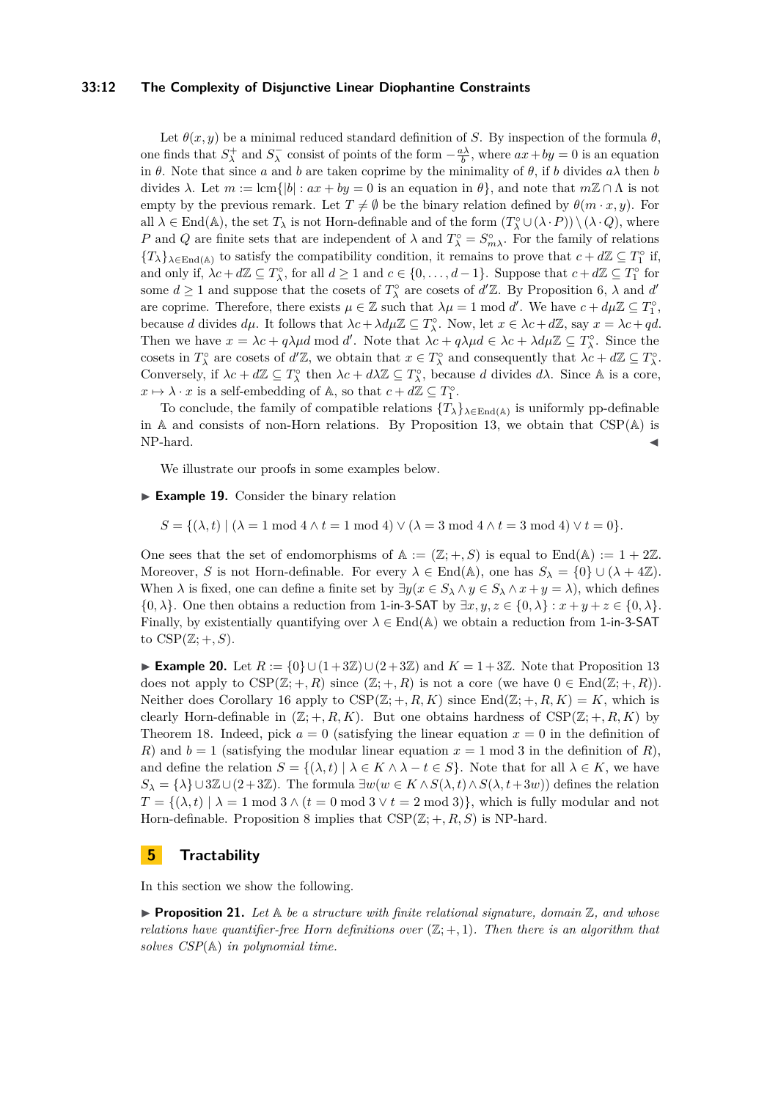### **33:12 The Complexity of Disjunctive Linear Diophantine Constraints**

Let  $\theta(x, y)$  be a minimal reduced standard definition of *S*. By inspection of the formula  $\theta$ , one finds that  $S^+_\lambda$  and  $S^-_\lambda$  consist of points of the form  $-\frac{a\lambda}{b}$ , where  $ax + by = 0$  is an equation in  $\theta$ . Note that since *a* and *b* are taken coprime by the minimality of  $\theta$ , if *b* divides  $a\lambda$  then *b* divides  $\lambda$ . Let  $m := \text{lcm}\{|b| : ax + by = 0$  is an equation in  $\theta\}$ , and note that  $m\mathbb{Z} \cap \Lambda$  is not empty by the previous remark. Let  $T \neq \emptyset$  be the binary relation defined by  $\theta(m \cdot x, y)$ . For all  $\lambda \in \text{End}(\mathbb{A})$ , the set  $T_{\lambda}$  is not Horn-definable and of the form  $(T_{\lambda}^{\circ} \cup (\lambda \cdot P)) \setminus (\lambda \cdot Q)$ , where *P* and *Q* are finite sets that are independent of  $\lambda$  and  $T_{\lambda}^{\circ} = S_{m\lambda}^{\circ}$ . For the family of relations  ${T_{\lambda}}$ <sub> $\lambda \in$ End(A)</sub> to satisfy the compatibility condition, it remains to prove that  $c + d\mathbb{Z} \subseteq T_1^{\circ}$  if, and only if,  $\lambda c + d\mathbb{Z} \subseteq T_\lambda^{\circ}$ , for all  $d \ge 1$  and  $c \in \{0, \ldots, d-1\}$ . Suppose that  $c + d\mathbb{Z} \subseteq T_1^{\circ}$  for some  $d \geq 1$  and suppose that the cosets of  $T_{\lambda}^{\circ}$  are cosets of  $d'\mathbb{Z}$ . By Proposition [6,](#page-4-0)  $\lambda$  and  $d'$ are coprime. Therefore, there exists  $\mu \in \mathbb{Z}$  such that  $\lambda \mu = 1 \mod d'$ . We have  $c + d\mu \mathbb{Z} \subseteq T_1^{\circ}$ , because *d* divides  $d\mu$ . It follows that  $\lambda c + \lambda d\mu \mathbb{Z} \subseteq T_{\lambda}^{\circ}$ . Now, let  $x \in \lambda c + d\mathbb{Z}$ , say  $x = \lambda c + qd$ . Then we have  $x = \lambda c + q\lambda \mu d \mod d'$ . Note that  $\lambda c + q\lambda \mu d \in \lambda c + \lambda d\mu \mathbb{Z} \subseteq T_{\lambda}^{\circ}$ . Since the cosets in  $T_{\lambda}^{\circ}$  are cosets of  $d'\mathbb{Z}$ , we obtain that  $x \in T_{\lambda}^{\circ}$  and consequently that  $\lambda c + d\mathbb{Z} \subseteq T_{\lambda}^{\circ}$ . Conversely, if  $\lambda c + d\mathbb{Z} \subseteq T_\lambda^{\circ}$  then  $\lambda c + d\lambda \mathbb{Z} \subseteq T_\lambda^{\circ}$ , because *d* divides  $d\lambda$ . Since *A* is a core,  $x \mapsto \lambda \cdot x$  is a self-embedding of A, so that  $c + d\mathbb{Z} \subseteq T_1^{\circ}$ .

To conclude, the family of compatible relations  $\{T_{\lambda}\}_{\lambda \in \text{End}(\mathbb{A})}$  is uniformly pp-definable in A and consists of non-Horn relations. By Proposition [13,](#page-7-1) we obtain that CSP(A) is NP-hard.

We illustrate our proofs in some examples below.

► **Example 19.** Consider the binary relation

 $S = \{(\lambda, t) | (\lambda = 1 \mod 4 \land t = 1 \mod 4) \lor (\lambda = 3 \mod 4 \land t = 3 \mod 4) \lor t = 0\}.$ 

One sees that the set of endomorphisms of  $\mathbb{A} := (\mathbb{Z}; +, S)$  is equal to  $\text{End}(\mathbb{A}) := 1 + 2\mathbb{Z}$ . Moreover, *S* is not Horn-definable. For every  $\lambda \in \text{End}(\mathbb{A})$ , one has  $S_{\lambda} = \{0\} \cup (\lambda + 4\mathbb{Z})$ . When  $\lambda$  is fixed, one can define a finite set by  $\exists y(x \in S_\lambda \land y \in S_\lambda \land x + y = \lambda)$ , which defines {0*,*  $\lambda$ }. One then obtains a reduction from 1-in-3-SAT by  $\exists x, y, z \in \{0, \lambda\} : x + y + z \in \{0, \lambda\}.$ Finally, by existentially quantifying over  $\lambda \in$  End( $\mathbb{A}$ ) we obtain a reduction from 1-in-3-SAT to  $CSP(\mathbb{Z};+,S)$ .

**Example 20.** Let  $R := \{0\} \cup (1+3\mathbb{Z}) \cup (2+3\mathbb{Z})$  and  $K = 1+3\mathbb{Z}$ . Note that Proposition [13](#page-7-1) does not apply to  $CSP(\mathbb{Z};+,R)$  since  $(\mathbb{Z};+,R)$  is not a core (we have  $0 \in End(\mathbb{Z};+,R)$ ). Neither does Corollary [16](#page-8-0) apply to  $CSP(\mathbb{Z};+,R,K)$  since  $\text{End}(\mathbb{Z};+,R,K) = K$ , which is clearly Horn-definable in  $(\mathbb{Z}; +, R, K)$ . But one obtains hardness of  $CSP(\mathbb{Z}; +, R, K)$  by Theorem [18.](#page-10-0) Indeed, pick  $a = 0$  (satisfying the linear equation  $x = 0$  in the definition of *R*) and  $b = 1$  (satisfying the modular linear equation  $x = 1$  mod 3 in the definition of *R*), and define the relation  $S = \{(\lambda, t) | \lambda \in K \land \lambda - t \in S\}$ . Note that for all  $\lambda \in K$ , we have *S*<sub> $\lambda$ </sub> = { $\lambda$ }∪3Z∪(2+3Z). The formula ∃*w*(*w* ∈ *K* ∧ *S*( $\lambda$ , *t*)∧ *S*( $\lambda$ , *t*+3*w*)) defines the relation  $T = \{(\lambda, t) | \lambda = 1 \text{ mod } 3 \wedge (t = 0 \text{ mod } 3 \vee t = 2 \text{ mod } 3)\},\$  which is fully modular and not Horn-definable. Proposition [8](#page-5-0) implies that  $CSP(\mathbb{Z};+,R,S)$  is NP-hard.

## **5 Tractability**

In this section we show the following.

<span id="page-11-0"></span> $\blacktriangleright$  **Proposition 21.** Let  $\mathbb{A}$  be a structure with finite relational signature, domain  $\mathbb{Z}$ , and whose *relations have quantifier-free Horn definitions over*  $(\mathbb{Z}; +, 1)$ *. Then there is an algorithm that solves CSP*(A) *in polynomial time.*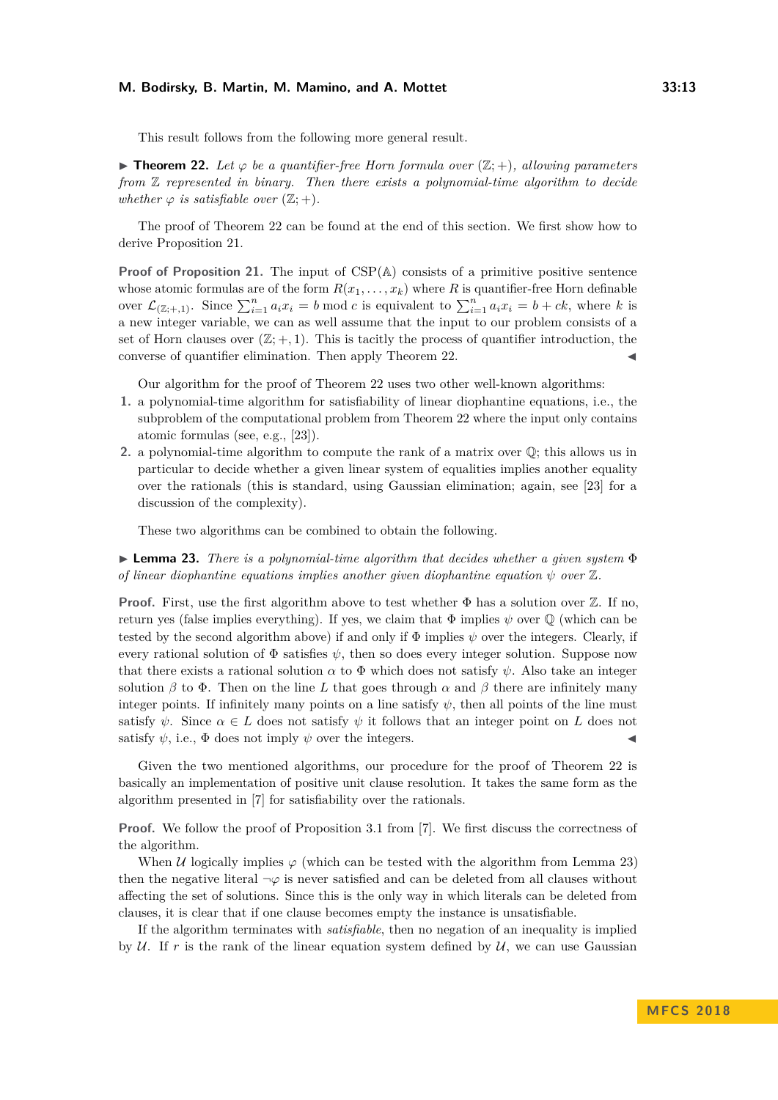This result follows from the following more general result.

<span id="page-12-0"></span>**► Theorem 22.** Let  $\varphi$  be a quantifier-free Horn formula over  $(\mathbb{Z}; +)$ , allowing parameters *from* Z *represented in binary. Then there exists a polynomial-time algorithm to decide whether*  $\varphi$  *is satisfiable over*  $(\mathbb{Z}; +)$ *.* 

The proof of Theorem [22](#page-12-0) can be found at the end of this section. We first show how to derive Proposition [21.](#page-11-0)

**Proof of Proposition [21.](#page-11-0)** The input of CSP(A) consists of a primitive positive sentence whose atomic formulas are of the form  $R(x_1, \ldots, x_k)$  where R is quantifier-free Horn definable over  $\mathcal{L}_{(\mathbb{Z};+,1)}$ . Since  $\sum_{i=1}^{n} a_i x_i = b \mod c$  is equivalent to  $\sum_{i=1}^{n} a_i x_i = b + ck$ , where *k* is a new integer variable, we can as well assume that the input to our problem consists of a set of Horn clauses over  $(\mathbb{Z}; +, 1)$ . This is tacitly the process of quantifier introduction, the converse of quantifier elimination. Then apply Theorem [22.](#page-12-0)

Our algorithm for the proof of Theorem [22](#page-12-0) uses two other well-known algorithms:

- **1.** a polynomial-time algorithm for satisfiability of linear diophantine equations, i.e., the subproblem of the computational problem from Theorem [22](#page-12-0) where the input only contains atomic formulas (see, e.g., [\[23\]](#page-15-2)).
- **2.** a polynomial-time algorithm to compute the rank of a matrix over Q; this allows us in particular to decide whether a given linear system of equalities implies another equality over the rationals (this is standard, using Gaussian elimination; again, see [\[23\]](#page-15-2) for a discussion of the complexity).

These two algorithms can be combined to obtain the following.

<span id="page-12-1"></span>I **Lemma 23.** *There is a polynomial-time algorithm that decides whether a given system* Φ *of linear diophantine equations implies another given diophantine equation*  $\psi$  *over*  $\mathbb{Z}$ *.* 

**Proof.** First, use the first algorithm above to test whether  $\Phi$  has a solution over  $\mathbb{Z}$ . If no, return yes (false implies everything). If yes, we claim that  $\Phi$  implies  $\psi$  over  $\mathbb Q$  (which can be tested by the second algorithm above) if and only if  $\Phi$  implies  $\psi$  over the integers. Clearly, if every rational solution of  $\Phi$  satisfies  $\psi$ , then so does every integer solution. Suppose now that there exists a rational solution  $\alpha$  to  $\Phi$  which does not satisfy  $\psi$ . Also take an integer solution  $\beta$  to  $\Phi$ . Then on the line L that goes through  $\alpha$  and  $\beta$  there are infinitely many integer points. If infinitely many points on a line satisfy  $\psi$ , then all points of the line must satisfy  $\psi$ . Since  $\alpha \in L$  does not satisfy  $\psi$  it follows that an integer point on L does not satisfy  $\psi$ , i.e.,  $\Phi$  does not imply  $\psi$  over the integers.

Given the two mentioned algorithms, our procedure for the proof of Theorem [22](#page-12-0) is basically an implementation of positive unit clause resolution. It takes the same form as the algorithm presented in [\[7\]](#page-14-11) for satisfiability over the rationals.

**Proof.** We follow the proof of Proposition 3.1 from [\[7\]](#page-14-11). We first discuss the correctness of the algorithm.

When U logically implies  $\varphi$  (which can be tested with the algorithm from Lemma [23\)](#page-12-1) then the negative literal  $\neg \varphi$  is never satisfied and can be deleted from all clauses without affecting the set of solutions. Since this is the only way in which literals can be deleted from clauses, it is clear that if one clause becomes empty the instance is unsatisfiable.

If the algorithm terminates with *satisfiable*, then no negation of an inequality is implied by  $U$ . If r is the rank of the linear equation system defined by  $U$ , we can use Gaussian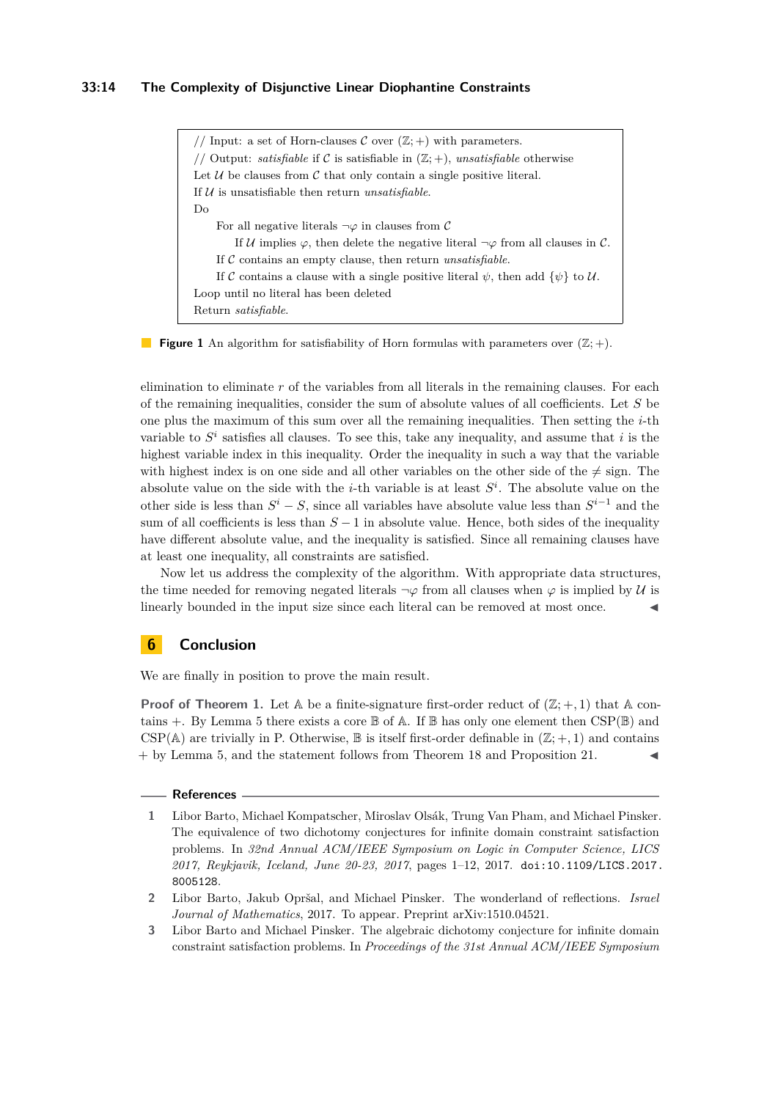## **33:14 The Complexity of Disjunctive Linear Diophantine Constraints**

// Input: a set of Horn-clauses  $\mathcal C$  over  $(\mathbb Z;+)$  with parameters. // Output: *satisfiable* if C is satisfiable in  $(\mathbb{Z}; +)$ , *unsatisfiable* otherwise Let  $U$  be clauses from  $C$  that only contain a single positive literal. If U is unsatisfiable then return *unsatisfiable*. Do For all negative literals  $\neg \varphi$  in clauses from C If U implies  $\varphi$ , then delete the negative literal  $\neg \varphi$  from all clauses in C. If C contains an empty clause, then return *unsatisfiable*. If C contains a clause with a single positive literal  $\psi$ , then add  $\{\psi\}$  to U. Loop until no literal has been deleted Return *satisfiable*.

**Figure 1** An algorithm for satisfiability of Horn formulas with parameters over  $(\mathbb{Z}; +)$ .

elimination to eliminate *r* of the variables from all literals in the remaining clauses. For each of the remaining inequalities, consider the sum of absolute values of all coefficients. Let *S* be one plus the maximum of this sum over all the remaining inequalities. Then setting the *i*-th variable to  $S^i$  satisfies all clauses. To see this, take any inequality, and assume that *i* is the highest variable index in this inequality. Order the inequality in such a way that the variable with highest index is on one side and all other variables on the other side of the  $\neq$  sign. The absolute value on the side with the *i*-th variable is at least *S i* . The absolute value on the other side is less than  $S^i - S$ , since all variables have absolute value less than  $S^{i-1}$  and the sum of all coefficients is less than *S* − 1 in absolute value. Hence, both sides of the inequality have different absolute value, and the inequality is satisfied. Since all remaining clauses have at least one inequality, all constraints are satisfied.

Now let us address the complexity of the algorithm. With appropriate data structures, the time needed for removing negated literals  $\neg \varphi$  from all clauses when  $\varphi$  is implied by U is linearly bounded in the input size since each literal can be removed at most once.

# **6 Conclusion**

We are finally in position to prove the main result.

**Proof of Theorem [1.](#page-1-0)** Let  $\mathbb A$  be a finite-signature first-order reduct of  $(\mathbb{Z}; +, 1)$  that  $\mathbb A$  contains  $+$ . By Lemma [5](#page-3-0) there exists a core  $\mathbb B$  of A. If  $\mathbb B$  has only one element then CSP( $\mathbb B$ ) and CSP( $\mathbb{A}$ ) are trivially in P. Otherwise,  $\mathbb B$  is itself first-order definable in  $(\mathbb Z; +, 1)$  and contains  $+$  by Lemma [5,](#page-3-0) and the statement follows from Theorem [18](#page-10-0) and Proposition [21.](#page-11-0)

#### **References**

- <span id="page-13-1"></span>**1** Libor Barto, Michael Kompatscher, Miroslav Olsák, Trung Van Pham, and Michael Pinsker. The equivalence of two dichotomy conjectures for infinite domain constraint satisfaction problems. In *32nd Annual ACM/IEEE Symposium on Logic in Computer Science, LICS 2017, Reykjavik, Iceland, June 20-23, 2017*, pages 1–12, 2017. [doi:10.1109/LICS.2017.](http://dx.doi.org/10.1109/LICS.2017.8005128) [8005128](http://dx.doi.org/10.1109/LICS.2017.8005128).
- <span id="page-13-2"></span>**2** Libor Barto, Jakub Opršal, and Michael Pinsker. The wonderland of reflections. *Israel Journal of Mathematics*, 2017. To appear. Preprint arXiv:1510.04521.
- <span id="page-13-0"></span>**3** Libor Barto and Michael Pinsker. The algebraic dichotomy conjecture for infinite domain constraint satisfaction problems. In *Proceedings of the 31st Annual ACM/IEEE Symposium*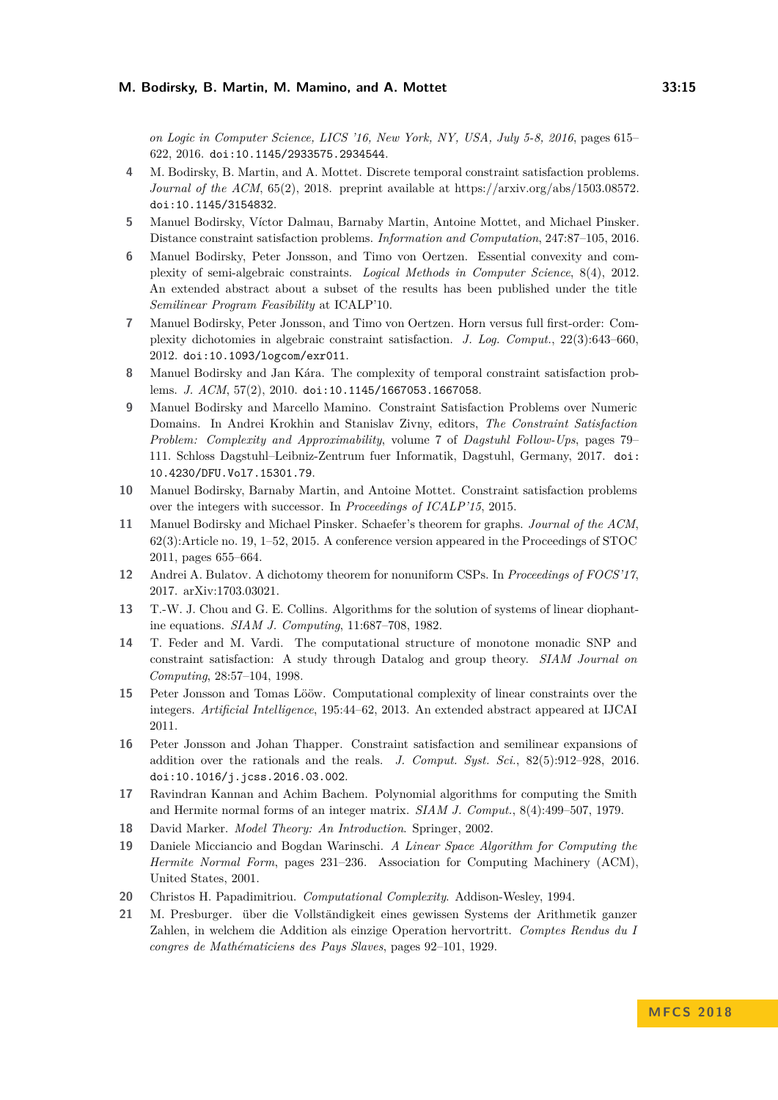*on Logic in Computer Science, LICS '16, New York, NY, USA, July 5-8, 2016*, pages 615– 622, 2016. [doi:10.1145/2933575.2934544](http://dx.doi.org/10.1145/2933575.2934544).

- <span id="page-14-9"></span>**4** M. Bodirsky, B. Martin, and A. Mottet. Discrete temporal constraint satisfaction problems. *Journal of the ACM*, 65(2), 2018. preprint available at https://arxiv.org/abs/1503.08572. [doi:10.1145/3154832](http://dx.doi.org/10.1145/3154832).
- <span id="page-14-6"></span>**5** Manuel Bodirsky, Víctor Dalmau, Barnaby Martin, Antoine Mottet, and Michael Pinsker. Distance constraint satisfaction problems. *Information and Computation*, 247:87–105, 2016.
- <span id="page-14-10"></span>**6** Manuel Bodirsky, Peter Jonsson, and Timo von Oertzen. Essential convexity and complexity of semi-algebraic constraints. *Logical Methods in Computer Science*, 8(4), 2012. An extended abstract about a subset of the results has been published under the title *Semilinear Program Feasibility* at ICALP'10.
- <span id="page-14-11"></span>**7** Manuel Bodirsky, Peter Jonsson, and Timo von Oertzen. Horn versus full first-order: Complexity dichotomies in algebraic constraint satisfaction. *J. Log. Comput.*, 22(3):643–660, 2012. [doi:10.1093/logcom/exr011](http://dx.doi.org/10.1093/logcom/exr011).
- <span id="page-14-8"></span>**8** Manuel Bodirsky and Jan Kára. The complexity of temporal constraint satisfaction problems. *J. ACM*, 57(2), 2010. [doi:10.1145/1667053.1667058](http://dx.doi.org/10.1145/1667053.1667058).
- <span id="page-14-14"></span>**9** Manuel Bodirsky and Marcello Mamino. Constraint Satisfaction Problems over Numeric Domains. In Andrei Krokhin and Stanislav Zivny, editors, *The Constraint Satisfaction Problem: Complexity and Approximability*, volume 7 of *Dagstuhl Follow-Ups*, pages 79– 111. Schloss Dagstuhl–Leibniz-Zentrum fuer Informatik, Dagstuhl, Germany, 2017. [doi:](http://dx.doi.org/10.4230/DFU.Vol7.15301.79) [10.4230/DFU.Vol7.15301.79](http://dx.doi.org/10.4230/DFU.Vol7.15301.79).
- <span id="page-14-7"></span>**10** Manuel Bodirsky, Barnaby Martin, and Antoine Mottet. Constraint satisfaction problems over the integers with successor. In *Proceedings of ICALP'15*, 2015.
- <span id="page-14-13"></span>**11** Manuel Bodirsky and Michael Pinsker. Schaefer's theorem for graphs. *Journal of the ACM*, 62(3):Article no. 19, 1–52, 2015. A conference version appeared in the Proceedings of STOC 2011, pages 655–664.
- <span id="page-14-1"></span>**12** Andrei A. Bulatov. A dichotomy theorem for nonuniform CSPs. In *Proceedings of FOCS'17*, 2017. arXiv:1703.03021.
- <span id="page-14-4"></span>**13** T.-W. J. Chou and G. E. Collins. Algorithms for the solution of systems of linear diophantine equations. *SIAM J. Computing*, 11:687–708, 1982.
- <span id="page-14-0"></span>**14** T. Feder and M. Vardi. The computational structure of monotone monadic SNP and constraint satisfaction: A study through Datalog and group theory. *SIAM Journal on Computing*, 28:57–104, 1998.
- <span id="page-14-2"></span>**15** Peter Jonsson and Tomas Lööw. Computational complexity of linear constraints over the integers. *Artificial Intelligence*, 195:44–62, 2013. An extended abstract appeared at IJCAI 2011.
- <span id="page-14-12"></span>**16** Peter Jonsson and Johan Thapper. Constraint satisfaction and semilinear expansions of addition over the rationals and the reals. *J. Comput. Syst. Sci.*, 82(5):912–928, 2016. [doi:10.1016/j.jcss.2016.03.002](http://dx.doi.org/10.1016/j.jcss.2016.03.002).
- <span id="page-14-3"></span>**17** Ravindran Kannan and Achim Bachem. Polynomial algorithms for computing the Smith and Hermite normal forms of an integer matrix. *SIAM J. Comput.*, 8(4):499–507, 1979.
- <span id="page-14-16"></span>**18** David Marker. *Model Theory: An Introduction*. Springer, 2002.
- <span id="page-14-5"></span>**19** Daniele Micciancio and Bogdan Warinschi. *A Linear Space Algorithm for Computing the Hermite Normal Form*, pages 231–236. Association for Computing Machinery (ACM), United States, 2001.
- <span id="page-14-17"></span>**20** Christos H. Papadimitriou. *Computational Complexity*. Addison-Wesley, 1994.
- <span id="page-14-15"></span>**21** M. Presburger. über die Vollständigkeit eines gewissen Systems der Arithmetik ganzer Zahlen, in welchem die Addition als einzige Operation hervortritt. *Comptes Rendus du I congres de Mathématiciens des Pays Slaves*, pages 92–101, 1929.